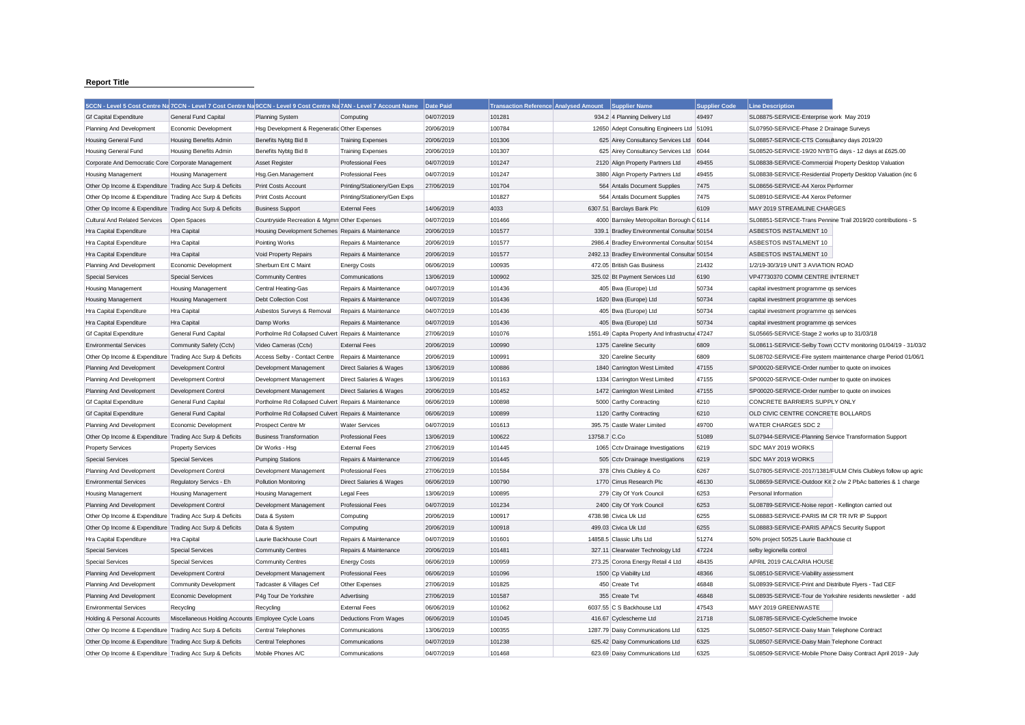## **Report Title**

|                                                           |                                                     | 5CCN - Level 5 Cost Centre Na 7CCN - Level 7 Cost Centre Na 9CCN - Level 9 Cost Centre Na 7AN - Level 7 Account Name |                              | Date Paid  | <b>Transaction Reference Analysed Amount</b> |              | <b>Supplier Name</b>                            | <b>Supplier Code</b> | <b>Line Description</b>                                       |                                                               |
|-----------------------------------------------------------|-----------------------------------------------------|----------------------------------------------------------------------------------------------------------------------|------------------------------|------------|----------------------------------------------|--------------|-------------------------------------------------|----------------------|---------------------------------------------------------------|---------------------------------------------------------------|
| <b>Gf Capital Expenditure</b>                             | General Fund Capital                                | <b>Planning System</b>                                                                                               | Computing                    | 04/07/2019 | 101281                                       |              | 934.2 4 Planning Delivery Ltd                   | 49497                | SL08875-SERVICE-Enterprise work May 2019                      |                                                               |
| Planning And Development                                  | Economic Development                                | Hsg Development & Regeneratic Other Expenses                                                                         |                              | 20/06/2019 | 100784                                       |              | 12650 Adept Consulting Engineers Ltd 51091      |                      | SL07950-SERVICE-Phase 2 Drainage Surveys                      |                                                               |
| Housing General Fund                                      | <b>Housing Benefits Admin</b>                       | Benefits Nybtg Bid 8                                                                                                 | <b>Training Expenses</b>     | 20/06/2019 | 101306                                       |              | 625 Airey Consultancy Services Ltd              | 6044                 | SL08857-SERVICE-CTS Consultancy days 2019/20                  |                                                               |
| Housing General Fund                                      | <b>Housing Benefits Admin</b>                       | Benefits Nybtg Bid 8                                                                                                 | <b>Training Expenses</b>     | 20/06/2019 | 101307                                       |              | 625 Airey Consultancy Services Ltd              | 6044                 | SL08520-SERVICE-19/20 NYBTG days - 12 days at £625.00         |                                                               |
| Corporate And Democratic Core Corporate Management        |                                                     | <b>Asset Register</b>                                                                                                | <b>Professional Fees</b>     | 04/07/2019 | 101247                                       |              | 2120 Align Property Partners Ltd                | 49455                | SL08838-SERVICE-Commercial Property Desktop Valuation         |                                                               |
| <b>Housing Management</b>                                 | <b>Housing Management</b>                           | Hsg.Gen.Management                                                                                                   | <b>Professional Fees</b>     | 04/07/2019 | 101247                                       |              | 3880 Align Property Partners Ltd                | 49455                | SL08838-SERVICE-Residential Property Desktop Valuation (inc 6 |                                                               |
| Other Op Income & Expenditure Trading Acc Surp & Deficits |                                                     | <b>Print Costs Account</b>                                                                                           | Printing/Stationery/Gen Exps | 27/06/2019 | 101704                                       |              | 564 Antalis Document Supplies                   | 7475                 | SL08656-SERVICE-A4 Xerox Performer                            |                                                               |
| Other Op Income & Expenditure Trading Acc Surp & Deficits |                                                     | <b>Print Costs Account</b>                                                                                           | Printing/Stationery/Gen Exps |            | 101827                                       |              | 564 Antalis Document Supplies                   | 7475                 | SL08910-SERVICE-A4 Xerox Peformer                             |                                                               |
| Other Op Income & Expenditure Trading Acc Surp & Deficits |                                                     | <b>Business Support</b>                                                                                              | <b>External Fees</b>         | 14/06/2019 | 4033                                         |              | 6307.51 Barclays Bank Plc                       | 6109                 | MAY 2019 STREAMLINE CHARGES                                   |                                                               |
| <b>Cultural And Related Services</b>                      | Open Spaces                                         | Countryside Recreation & Mgmn Other Expenses                                                                         |                              | 04/07/2019 | 101466                                       |              | 4000 Barnsley Metropolitan Borough C 6114       |                      | SL08851-SERVICE-Trans Pennine Trail 2019/20 contributions - S |                                                               |
| Hra Capital Expenditure                                   | Hra Capital                                         | Housing Development Schemes Repairs & Maintenance                                                                    |                              | 20/06/2019 | 101577                                       |              | 339.1 Bradley Environmental Consultar 50154     |                      | ASBESTOS INSTALMENT 10                                        |                                                               |
| Hra Capital Expenditure                                   | Hra Capital                                         | Pointing Works                                                                                                       | Repairs & Maintenance        | 20/06/2019 | 101577                                       |              | 2986.4 Bradley Environmental Consultar 50154    |                      | ASBESTOS INSTALMENT 10                                        |                                                               |
| Hra Capital Expenditure                                   | Hra Capital                                         | Void Property Repairs                                                                                                | Repairs & Maintenance        | 20/06/2019 | 101577                                       |              | 2492.13 Bradley Environmental Consultar 50154   |                      | ASBESTOS INSTALMENT 10                                        |                                                               |
| Planning And Development                                  | Economic Development                                | Sherburn Ent C Maint                                                                                                 | <b>Energy Costs</b>          | 06/06/2019 | 100935                                       |              | 472.05 British Gas Business                     | 21432                | 1/2/19-30/3/19 UNIT 3 AVIATION ROAD                           |                                                               |
| <b>Special Services</b>                                   | <b>Special Services</b>                             | <b>Community Centres</b>                                                                                             | Communications               | 13/06/2019 | 100902                                       |              | 325.02 Bt Payment Services Ltd                  | 6190                 | VP47730370 COMM CENTRE INTERNET                               |                                                               |
| <b>Housing Management</b>                                 | <b>Housing Management</b>                           | Central Heating-Gas                                                                                                  | Repairs & Maintenance        | 04/07/2019 | 101436                                       |              | 405 Bwa (Europe) Ltd                            | 50734                | capital investment programme qs services                      |                                                               |
| Housing Management                                        | Housing Management                                  | Debt Collection Cost                                                                                                 | Repairs & Maintenance        | 04/07/2019 | 101436                                       |              | 1620 Bwa (Europe) Ltd                           | 50734                | capital investment programme qs services                      |                                                               |
| Hra Capital Expenditure                                   | Hra Capital                                         | Asbestos Surveys & Removal                                                                                           | Repairs & Maintenance        | 04/07/2019 | 101436                                       |              | 405 Bwa (Europe) Ltd                            | 50734                | capital investment programme qs services                      |                                                               |
| Hra Capital Expenditure                                   | Hra Capital                                         | Damp Works                                                                                                           | Repairs & Maintenance        | 04/07/2019 | 101436                                       |              | 405 Bwa (Europe) Ltd                            | 50734                | capital investment programme qs services                      |                                                               |
| <b>Gf Capital Expenditure</b>                             | General Fund Capital                                | Portholme Rd Collapsed Culvert Repairs & Maintenance                                                                 |                              | 27/06/2019 | 101076                                       |              | 1551.49 Capita Property And Infrastructur 47247 |                      | SL05665-SERVICE-Stage 2 works up to 31/03/18                  |                                                               |
| <b>Environmental Services</b>                             | Community Safety (Cctv)                             | Video Cameras (Cctv)                                                                                                 | <b>External Fees</b>         | 20/06/2019 | 100990                                       |              | 1375 Careline Security                          | 6809                 |                                                               | SL08611-SERVICE-Selby Town CCTV monitoring 01/04/19 - 31/03/2 |
| Other Op Income & Expenditure Trading Acc Surp & Deficits |                                                     | Access Selby - Contact Centre                                                                                        | Repairs & Maintenance        | 20/06/2019 | 100991                                       |              | 320 Careline Security                           | 6809                 |                                                               | SL08702-SERVICE-Fire system maintenance charge Period 01/06/1 |
| Planning And Development                                  | Development Control                                 | Development Management                                                                                               | Direct Salaries & Wages      | 13/06/2019 | 100886                                       |              | 1840 Carrington West Limited                    | 47155                | SP00020-SERVICE-Order number to quote on invoices             |                                                               |
| Planning And Development                                  | Development Control                                 | Development Management                                                                                               | Direct Salaries & Wages      | 13/06/2019 | 101163                                       |              | 1334 Carrington West Limited                    | 47155                | SP00020-SERVICE-Order number to quote on invoices             |                                                               |
| Planning And Development                                  | Development Control                                 | Development Management                                                                                               | Direct Salaries & Wages      | 20/06/2019 | 101452                                       |              | 1472 Carrington West Limited                    | 47155                | SP00020-SERVICE-Order number to quote on invoices             |                                                               |
| <b>Gf Capital Expenditure</b>                             | General Fund Capital                                | Portholme Rd Collapsed Culvert Repairs & Maintenance                                                                 |                              | 06/06/2019 | 100898                                       |              | 5000 Carthy Contracting                         | 6210                 | CONCRETE BARRIERS SUPPLY ONLY                                 |                                                               |
| <b>Gf Capital Expenditure</b>                             | General Fund Capital                                | Portholme Rd Collapsed Culvert Repairs & Maintenance                                                                 |                              | 06/06/2019 | 100899                                       |              | 1120 Carthy Contracting                         | 6210                 | OLD CIVIC CENTRE CONCRETE BOLLARDS                            |                                                               |
| Planning And Development                                  | Economic Development                                | Prospect Centre Mr                                                                                                   | <b>Water Services</b>        | 04/07/2019 | 101613                                       |              | 395.75 Castle Water Limited                     | 49700                | WATER CHARGES SDC 2                                           |                                                               |
| Other Op Income & Expenditure Trading Acc Surp & Deficits |                                                     | <b>Business Transformation</b>                                                                                       | Professional Fees            | 13/06/2019 | 100622                                       | 13758.7 C.Co |                                                 | 51089                | SL07944-SERVICE-Planning Service Transformation Support       |                                                               |
| <b>Property Services</b>                                  | <b>Property Services</b>                            | Dir Works - Hsg                                                                                                      | <b>External Fees</b>         | 27/06/2019 | 101445                                       |              | 1065 Cctv Drainage Investigations               | 6219                 | SDC MAY 2019 WORKS                                            |                                                               |
| <b>Special Services</b>                                   | <b>Special Services</b>                             | <b>Pumping Stations</b>                                                                                              | Repairs & Maintenance        | 27/06/2019 | 101445                                       |              | 505 Cctv Drainage Investigations                | 6219                 | SDC MAY 2019 WORKS                                            |                                                               |
| Planning And Development                                  | Development Control                                 | Development Management                                                                                               | <b>Professional Fees</b>     | 27/06/2019 | 101584                                       |              | 378 Chris Clubley & Co                          | 6267                 |                                                               | SL07805-SERVICE-2017/1381/FULM Chris Clubleys follow up agric |
| <b>Environmental Services</b>                             | Regulatory Servics - Eh                             | Pollution Monitoring                                                                                                 | Direct Salaries & Wages      | 06/06/2019 | 100790                                       |              | 1770 Cirrus Research Plc                        | 46130                |                                                               | SL08659-SERVICE-Outdoor Kit 2 c/w 2 PbAc batteries & 1 charge |
| Housing Management                                        | <b>Housing Management</b>                           | Housing Management                                                                                                   | <b>Legal Fees</b>            | 13/06/2019 | 100895                                       |              | 279 City Of York Council                        | 6253                 | Personal Information                                          |                                                               |
| Planning And Development                                  | Development Control                                 | Development Management                                                                                               | Professional Fees            | 04/07/2019 | 101234                                       |              | 2400 City Of York Council                       | 6253                 | SL08789-SERVICE-Noise report - Kellington carried out         |                                                               |
| Other Op Income & Expenditure Trading Acc Surp & Deficits |                                                     | Data & System                                                                                                        | Computing                    | 20/06/2019 | 100917                                       |              | 4738.98 Civica Uk Ltd                           | 6255                 | SL08883-SERVICE-PARIS IM CR TR IVR IP Support                 |                                                               |
| Other Op Income & Expenditure Trading Acc Surp & Deficits |                                                     | Data & System                                                                                                        | Computing                    | 20/06/2019 | 100918                                       |              | 499.03 Civica Uk Ltd                            | 6255                 | SL08883-SERVICE-PARIS APACS Security Support                  |                                                               |
| Hra Capital Expenditure                                   | <b>Hra Capital</b>                                  | Laurie Backhouse Court                                                                                               | Repairs & Maintenance        | 04/07/2019 | 101601                                       |              | 14858.5 Classic Lifts Ltd                       | 51274                | 50% project 50525 Laurie Backhouse ct                         |                                                               |
| <b>Special Services</b>                                   | <b>Special Services</b>                             | <b>Community Centres</b>                                                                                             | Repairs & Maintenance        | 20/06/2019 | 101481                                       |              | 327.11 Clearwater Technology Ltd                | 47224                | selby legionella control                                      |                                                               |
| <b>Special Services</b>                                   | <b>Special Services</b>                             | <b>Community Centres</b>                                                                                             | <b>Energy Costs</b>          | 06/06/2019 | 100959                                       |              | 273.25 Corona Energy Retail 4 Ltd               | 48435                | APRIL 2019 CALCARIA HOUSE                                     |                                                               |
| Planning And Development                                  | Development Control                                 | Development Management                                                                                               | <b>Professional Fees</b>     | 06/06/2019 | 101096                                       |              | 1500 Cp Viability Ltd                           | 48366                | SL08510-SERVICE-Viability assessment                          |                                                               |
| Planning And Development                                  | <b>Community Development</b>                        | Tadcaster & Villages Cef                                                                                             | Other Expenses               | 27/06/2019 | 101825                                       |              | 450 Create Tvt                                  | 46848                | SL08939-SERVICE-Print and Distribute Flvers - Tad CEF         |                                                               |
| Planning And Development                                  | Economic Development                                | P4g Tour De Yorkshire                                                                                                | Advertising                  | 27/06/2019 | 101587                                       |              | 355 Create Tvt                                  | 46848                | SL08935-SERVICE-Tour de Yorkshire residents newsletter - add  |                                                               |
| <b>Environmental Services</b>                             | Recycling                                           | Recycling                                                                                                            | <b>External Fees</b>         | 06/06/2019 | 101062                                       |              | 6037.55 C S Backhouse Ltd                       | 47543                | MAY 2019 GREENWASTE                                           |                                                               |
| Holding & Personal Accounts                               | Miscellaneous Holding Accounts Employee Cycle Loans |                                                                                                                      | <b>Deductions From Wages</b> | 06/06/2019 | 101045                                       |              | 416.67 Cyclescheme Ltd                          | 21718                | SL08785-SERVICE-CycleScheme Invoice                           |                                                               |
| Other Op Income & Expenditure Trading Acc Surp & Deficits |                                                     | Central Telephones                                                                                                   | Communications               | 13/06/2019 | 100355                                       |              | 1287.79 Daisy Communications Ltd                | 6325                 | SL08507-SERVICE-Daisy Main Telephone Contract                 |                                                               |
| Other Op Income & Expenditure Trading Acc Surp & Deficits |                                                     | <b>Central Telephones</b>                                                                                            | Communications               | 04/07/2019 | 101238                                       |              | 625.42 Daisy Communications Ltd                 | 6325                 | SL08507-SERVICE-Daisy Main Telephone Contract                 |                                                               |
| Other Op Income & Expenditure Trading Acc Surp & Deficits |                                                     | Mobile Phones A/C                                                                                                    | Communications               | 04/07/2019 | 101468                                       |              | 623.69 Daisy Communications Ltd                 | 6325                 |                                                               | SL08509-SERVICE-Mobile Phone Daisy Contract April 2019 - July |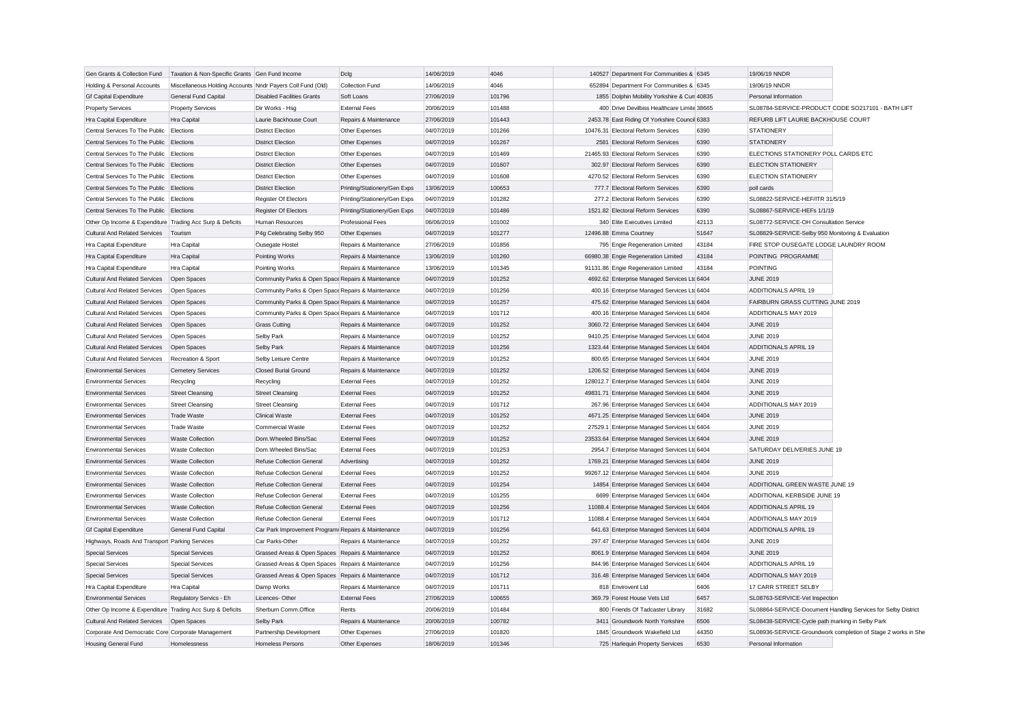| Gen Grants & Collection Fund                              | Taxation & Non-Specific Grants Gen Fund Income             |                                                     | Dclg                         | 14/06/2019 | 4046   | 140527 Department For Communities & 6345      |       | 19/06/19 NNDR                                     |                                                               |
|-----------------------------------------------------------|------------------------------------------------------------|-----------------------------------------------------|------------------------------|------------|--------|-----------------------------------------------|-------|---------------------------------------------------|---------------------------------------------------------------|
| Holding & Personal Accounts                               | Miscellaneous Holding Accounts Nndr Payers Coll Fund (Old) |                                                     | Collection Fund              | 14/06/2019 | 4046   | 652894 Department For Communities & 6345      |       | 19/06/19 NNDR                                     |                                                               |
| <b>Gf Capital Expenditure</b>                             | General Fund Capital                                       | <b>Disabled Facilities Grants</b>                   | Soft Loans                   | 27/06/2019 | 101796 | 1855 Dolphin Mobility Yorkshire & Cun 40835   |       | Personal Information                              |                                                               |
| <b>Property Services</b>                                  | <b>Property Services</b>                                   | Dir Works - Hsg                                     | <b>External Fees</b>         | 20/06/2019 | 101488 | 400 Drive Devilbiss Healthcare Limite 38665   |       | SL08784-SERVICE-PRODUCT CODE SO217101 - BATH LIFT |                                                               |
| Hra Capital Expenditure                                   | Hra Capital                                                | Laurie Backhouse Court                              | Repairs & Maintenance        | 27/06/2019 | 101443 | 2453.78 East Riding Of Yorkshire Council 6383 |       | REFURB LIFT LAURIE BACKHOUSE COURT                |                                                               |
| Central Services To The Public                            | Elections                                                  | <b>District Election</b>                            | Other Expenses               | 04/07/2019 | 101266 | 10476.31 Electoral Reform Services            | 6390  | <b>STATIONERY</b>                                 |                                                               |
| Central Services To The Public Elections                  |                                                            | <b>District Election</b>                            | Other Expenses               | 04/07/2019 | 101267 | 2581 Electoral Reform Services                | 6390  | <b>STATIONERY</b>                                 |                                                               |
| Central Services To The Public Elections                  |                                                            | <b>District Election</b>                            | Other Expenses               | 04/07/2019 | 101469 | 21465.93 Electoral Reform Services            | 6390  | ELECTIONS STATIONERY POLL CARDS ETC               |                                                               |
| Central Services To The Public Elections                  |                                                            | <b>District Election</b>                            | Other Expenses               | 04/07/2019 | 101607 | 302.97 Electoral Reform Services              | 6390  | <b>ELECTION STATIONERY</b>                        |                                                               |
| Central Services To The Public Elections                  |                                                            | <b>District Election</b>                            | Other Expenses               | 04/07/2019 | 101608 | 4270.52 Electoral Reform Services             | 6390  | <b>ELECTION STATIONERY</b>                        |                                                               |
| Central Services To The Public Elections                  |                                                            | <b>District Election</b>                            | Printing/Stationery/Gen Exps | 13/06/2019 | 100653 | 777.7 Electoral Reform Services               | 6390  | poll cards                                        |                                                               |
| Central Services To The Public Elections                  |                                                            | Register Of Electors                                | Printing/Stationery/Gen Exps | 04/07/2019 | 101282 | 277.2 Electoral Reform Services               | 6390  | SL08822-SERVICE-HEF/ITR 31/5/19                   |                                                               |
| Central Services To The Public Elections                  |                                                            | <b>Register Of Electors</b>                         | Printing/Stationery/Gen Exps | 04/07/2019 | 101486 | 1521.82 Electoral Reform Services             | 6390  | SL08867-SERVICE-HEFs 1/1/19                       |                                                               |
| Other Op Income & Expenditure Trading Acc Surp & Deficits |                                                            | Human Resources                                     | <b>Professional Fees</b>     | 06/06/2019 | 101002 | 340 Elite Executives Limited                  | 42113 | SL08772-SERVICE-OH Consultation Service           |                                                               |
| <b>Cultural And Related Services</b>                      | Tourism                                                    | P4g Celebrating Selby 950                           | Other Expenses               | 04/07/2019 | 101277 | 12496.88 Emma Courtney                        | 51647 | SL08829-SERVICE-Selby 950 Monitoring & Evaluation |                                                               |
| Hra Capital Expenditure                                   | Hra Capital                                                | Ousegate Hostel                                     | Repairs & Maintenance        | 27/06/2019 | 101856 | 795 Engie Regeneration Limited                | 43184 | FIRE STOP OUSEGATE LODGE LAUNDRY ROOM             |                                                               |
| Hra Capital Expenditure                                   | Hra Capital                                                | Pointing Works                                      | Repairs & Maintenance        | 13/06/2019 | 101260 | 66980.38 Engie Regeneration Limited           | 43184 | POINTING PROGRAMME                                |                                                               |
| Hra Capital Expenditure                                   | Hra Capital                                                | Pointing Works                                      | Repairs & Maintenance        | 13/06/2019 | 101345 | 91131.86 Engie Regeneration Limited           | 43184 | <b>POINTING</b>                                   |                                                               |
| <b>Cultural And Related Services</b>                      | Open Spaces                                                | Community Parks & Open Space Repairs & Maintenance  |                              | 04/07/2019 | 101252 | 4692.62 Enterprise Managed Services Ltc 6404  |       | <b>JUNE 2019</b>                                  |                                                               |
| <b>Cultural And Related Services</b>                      | Open Spaces                                                | Community Parks & Open Space Repairs & Maintenance  |                              | 04/07/2019 | 101256 | 400.16 Enterprise Managed Services Ltd 6404   |       | ADDITIONALS APRIL 19                              |                                                               |
| <b>Cultural And Related Services</b>                      | Open Spaces                                                | Community Parks & Open Space Repairs & Maintenance  |                              | 04/07/2019 | 101257 | 475.62 Enterprise Managed Services Ltd 6404   |       | FAIRBURN GRASS CUTTING JUNE 2019                  |                                                               |
| <b>Cultural And Related Services</b>                      | Open Spaces                                                | Community Parks & Open Space Repairs & Maintenance  |                              | 04/07/2019 | 101712 | 400.16 Enterprise Managed Services Ltd 6404   |       | ADDITIONALS MAY 2019                              |                                                               |
| Cultural And Related Services                             | Open Spaces                                                | <b>Grass Cutting</b>                                | Repairs & Maintenance        | 04/07/2019 | 101252 | 3060.72 Enterprise Managed Services Ltd 6404  |       | JUNE 2019                                         |                                                               |
| <b>Cultural And Related Services</b>                      | Open Spaces                                                | Selby Park                                          | Repairs & Maintenance        | 04/07/2019 | 101252 | 9410.25 Enterprise Managed Services Ltd 6404  |       | <b>JUNE 2019</b>                                  |                                                               |
| <b>Cultural And Related Services</b>                      | Open Spaces                                                | Selby Park                                          | Repairs & Maintenance        | 04/07/2019 | 101256 | 1323.44 Enterprise Managed Services Ltd 6404  |       | <b>ADDITIONALS APRIL 19</b>                       |                                                               |
| <b>Cultural And Related Services</b>                      | Recreation & Sport                                         | Selby Leisure Centre                                | Repairs & Maintenance        | 04/07/2019 | 101252 | 800.65 Enterprise Managed Services Ltd 6404   |       | <b>JUNE 2019</b>                                  |                                                               |
| <b>Environmental Services</b>                             | <b>Cemetery Services</b>                                   | Closed Burial Ground                                | Repairs & Maintenance        | 04/07/2019 | 101252 | 1206.52 Enterprise Managed Services Ltd 6404  |       | <b>JUNE 2019</b>                                  |                                                               |
| <b>Environmental Services</b>                             | Recycling                                                  | Recycling                                           | <b>External Fees</b>         | 04/07/2019 | 101252 | 128012.7 Enterprise Managed Services Ltd 6404 |       | <b>JUNE 2019</b>                                  |                                                               |
| <b>Environmental Services</b>                             | <b>Street Cleansing</b>                                    | <b>Street Cleansing</b>                             | <b>External Fees</b>         | 04/07/2019 | 101252 | 49831.71 Enterprise Managed Services Ltd 6404 |       | <b>JUNE 2019</b>                                  |                                                               |
| <b>Environmental Services</b>                             | <b>Street Cleansing</b>                                    | <b>Street Cleansing</b>                             | <b>External Fees</b>         | 04/07/2019 | 101712 | 267.96 Enterprise Managed Services Ltd 6404   |       | ADDITIONALS MAY 2019                              |                                                               |
| <b>Environmental Services</b>                             | <b>Trade Waste</b>                                         | <b>Clinical Waste</b>                               | <b>External Fees</b>         | 04/07/2019 | 101252 | 4671.25 Enterprise Managed Services Ltd 6404  |       | <b>JUNE 2019</b>                                  |                                                               |
| <b>Environmental Services</b>                             | <b>Trade Waste</b>                                         | Commercial Waste                                    | <b>External Fees</b>         | 04/07/2019 | 101252 | 27529.1 Enterprise Managed Services Ltd 6404  |       | <b>JUNE 2019</b>                                  |                                                               |
| <b>Environmental Services</b>                             | <b>Waste Collection</b>                                    | Dom.Wheeled Bins/Sac                                | <b>External Fees</b>         | 04/07/2019 | 101252 | 23533.64 Enterprise Managed Services Ltc 6404 |       | <b>JUNE 2019</b>                                  |                                                               |
| <b>Environmental Services</b>                             | <b>Waste Collection</b>                                    | Dom.Wheeled Bins/Sac                                | <b>External Fees</b>         | 04/07/2019 | 101253 | 2954.7 Enterprise Managed Services Ltd 6404   |       | SATURDAY DELIVERIES JUNE 19                       |                                                               |
| <b>Environmental Services</b>                             | <b>Waste Collection</b>                                    | Refuse Collection General                           | Advertising                  | 04/07/2019 | 101252 | 1769.21 Enterprise Managed Services Ltd 6404  |       | <b>JUNE 2019</b>                                  |                                                               |
| <b>Environmental Services</b>                             | <b>Waste Collection</b>                                    | Refuse Collection General                           | <b>External Fees</b>         | 04/07/2019 | 101252 | 99267.12 Enterprise Managed Services Ltd 6404 |       | <b>JUNE 2019</b>                                  |                                                               |
| <b>Environmental Services</b>                             | <b>Waste Collection</b>                                    | <b>Refuse Collection General</b>                    | <b>External Fees</b>         | 04/07/2019 | 101254 | 14854 Enterprise Managed Services Ltd 6404    |       | ADDITIONAL GREEN WASTE JUNE 19                    |                                                               |
| <b>Environmental Services</b>                             | <b>Waste Collection</b>                                    | <b>Refuse Collection General</b>                    | <b>External Fees</b>         | 04/07/2019 | 101255 | 6699 Enterprise Managed Services Ltd 6404     |       | ADDITIONAL KERBSIDE JUNE 19                       |                                                               |
| <b>Environmental Services</b>                             | <b>Waste Collection</b>                                    | Refuse Collection General                           | <b>External Fees</b>         | 04/07/2019 | 101256 | 11088.4 Enterprise Managed Services Ltc 6404  |       | <b>ADDITIONALS APRIL 19</b>                       |                                                               |
| <b>Environmental Services</b>                             | <b>Waste Collection</b>                                    | Refuse Collection General                           | <b>External Fees</b>         | 04/07/2019 | 101712 | 11088.4 Enterprise Managed Services Ltd 6404  |       | ADDITIONALS MAY 2019                              |                                                               |
| <b>Gf Capital Expenditure</b>                             | <b>General Fund Capital</b>                                | Car Park Improvement Program: Repairs & Maintenance |                              | 04/07/2019 | 101256 | 641.63 Enterprise Managed Services Ltd 6404   |       | <b>ADDITIONALS APRIL 19</b>                       |                                                               |
| Highways, Roads And Transport Parking Services            |                                                            | Car Parks-Other                                     | Repairs & Maintenance        | 04/07/2019 | 101252 | 297.47 Enterprise Managed Services Ltd 6404   |       | <b>JUNE 2019</b>                                  |                                                               |
| <b>Special Services</b>                                   | <b>Special Services</b>                                    | Grassed Areas & Open Spaces Repairs & Maintenance   |                              | 04/07/2019 | 101252 | 8061.9 Enterprise Managed Services Ltc 6404   |       | <b>JUNE 2019</b>                                  |                                                               |
| <b>Special Services</b>                                   | <b>Special Services</b>                                    | Grassed Areas & Open Spaces Repairs & Maintenance   |                              | 04/07/2019 | 101256 | 844.96 Enterprise Managed Services Ltd 6404   |       | ADDITIONALS APRIL 19                              |                                                               |
| <b>Special Services</b>                                   | <b>Special Services</b>                                    | Grassed Areas & Open Spaces Repairs & Maintenance   |                              | 04/07/2019 | 101712 | 316.48 Enterprise Managed Services Ltc 6404   |       | ADDITIONALS MAY 2019                              |                                                               |
| Hra Capital Expenditure                                   | Hra Capital                                                | Damp Works                                          | Repairs & Maintenance        | 04/07/2019 | 101711 | 818 Envirovent Ltd                            | 6406  | 17 CARR STREET SELBY                              |                                                               |
| <b>Environmental Services</b>                             | Regulatory Servics - Eh                                    | Licences-Other                                      | <b>External Fees</b>         | 27/06/2019 | 100655 | 369.79 Forest House Vets Ltd                  | 6457  | SL08763-SERVICE-Vet Inspection                    |                                                               |
| Other Op Income & Expenditure Trading Acc Surp & Deficits |                                                            | Sherburn Comm.Office                                | Rents                        | 20/06/2019 | 101484 | 800 Friends Of Tadcaster Library              | 31682 |                                                   | SL08864-SERVICE-Document Handling Services for Selby District |
| <b>Cultural And Related Services</b>                      | Open Spaces                                                | Selby Park                                          | Repairs & Maintenance        | 20/06/2019 | 100782 | 3411 Groundwork North Yorkshire               | 6506  | SL08438-SERVICE-Cycle path marking in Selby Park  |                                                               |
| Corporate And Democratic Core Corporate Management        |                                                            | Partnership Development                             | Other Expenses               | 27/06/2019 | 101820 | 1845 Groundwork Wakefield Ltd                 | 44350 |                                                   | SL08936-SERVICE-Groundwork completion of Stage 2 works in She |
| Housing General Fund                                      | Homelessness                                               | <b>Homeless Persons</b>                             | Other Expenses               | 18/06/2019 | 101346 | 725 Harlequin Property Services               | 6530  | Personal Information                              |                                                               |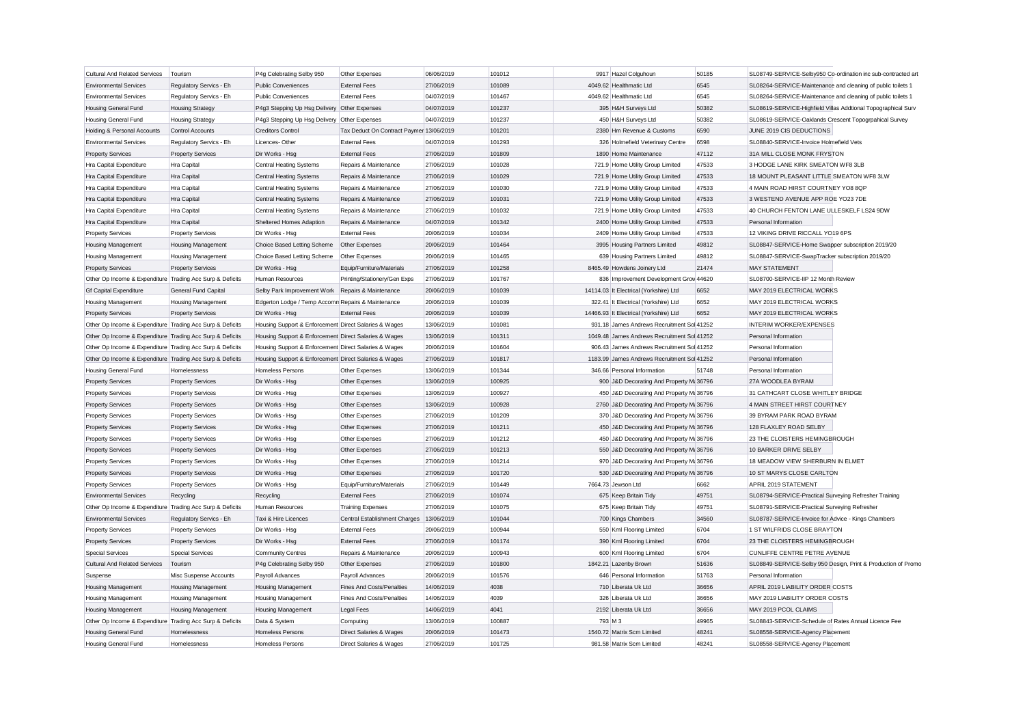| <b>Cultural And Related Services</b>                      | Tourism                   | P4g Celebrating Selby 950                             | Other Expenses                           | 06/06/2019 | 101012 | 9917 Hazel Colguhoun                        | 50185 |                                                               | SL08749-SERVICE-Selby950 Co-ordination inc sub-contracted art |
|-----------------------------------------------------------|---------------------------|-------------------------------------------------------|------------------------------------------|------------|--------|---------------------------------------------|-------|---------------------------------------------------------------|---------------------------------------------------------------|
| <b>Environmental Services</b>                             | Regulatory Servics - Eh   | <b>Public Conveniences</b>                            | <b>External Fees</b>                     | 27/06/2019 | 101089 | 4049.62 Healthmatic Ltd                     | 6545  | SL08264-SERVICE-Maintenance and cleaning of public toilets 1  |                                                               |
| <b>Environmental Services</b>                             | Regulatory Servics - Eh   | <b>Public Conveniences</b>                            | <b>External Fees</b>                     | 04/07/2019 | 101467 | 4049.62 Healthmatic Ltd                     | 6545  | SL08264-SERVICE-Maintenance and cleaning of public toilets 1  |                                                               |
| <b>Housing General Fund</b>                               | <b>Housing Strategy</b>   | P4g3 Stepping Up Hsg Delivery Other Expenses          |                                          | 04/07/2019 | 101237 | 395 H&H Surveys Ltd                         | 50382 | SL08619-SERVICE-Highfield Villas Addtional Topographical Surv |                                                               |
| <b>Housing General Fund</b>                               | <b>Housing Strategy</b>   | P4g3 Stepping Up Hsg Delivery Other Expenses          |                                          | 04/07/2019 | 101237 | 450 H&H Surveys Ltd                         | 50382 | SL08619-SERVICE-Oaklands Crescent Topogrpahical Survey        |                                                               |
| Holding & Personal Accounts                               | Control Accounts          | <b>Creditors Control</b>                              | Tax Deduct On Contract Paymer 13/06/2019 |            | 101201 | 2380 Hm Revenue & Customs                   | 6590  | JUNE 2019 CIS DEDUCTIONS                                      |                                                               |
| <b>Environmental Services</b>                             | Regulatory Servics - Eh   | Licences-Other                                        | <b>External Fees</b>                     | 04/07/2019 | 101293 | 326 Holmefield Veterinary Centre            | 6598  | SL08840-SERVICE-Invoice Holmefield Vets                       |                                                               |
| <b>Property Services</b>                                  | <b>Property Services</b>  | Dir Works - Hsg                                       | <b>External Fees</b>                     | 27/06/2019 | 101809 | 1890 Home Maintenance                       | 47112 | 31A MILL CLOSE MONK FRYSTON                                   |                                                               |
| Hra Capital Expenditure                                   | Hra Capital               | <b>Central Heating Systems</b>                        | Repairs & Maintenance                    | 27/06/2019 | 101028 | 721.9 Home Utility Group Limited            | 47533 | 3 HODGE LANE KIRK SMEATON WF8 3LB                             |                                                               |
| Hra Capital Expenditure                                   | <b>Hra Capital</b>        | <b>Central Heating Systems</b>                        | Repairs & Maintenance                    | 27/06/2019 | 101029 | 721.9 Home Utility Group Limited            | 47533 | 18 MOUNT PLEASANT LITTLE SMEATON WF8 3LW                      |                                                               |
| Hra Capital Expenditure                                   | Hra Capital               | <b>Central Heating Systems</b>                        | Repairs & Maintenance                    | 27/06/2019 | 101030 | 721.9 Home Utility Group Limited            | 47533 | 4 MAIN ROAD HIRST COURTNEY YO8 8QP                            |                                                               |
| Hra Capital Expenditure                                   | <b>Hra Capital</b>        | <b>Central Heating Systems</b>                        | Repairs & Maintenance                    | 27/06/2019 | 101031 | 721.9 Home Utility Group Limited            | 47533 | 3 WESTEND AVENUE APP ROE YO23 7DE                             |                                                               |
| Hra Capital Expenditure                                   | Hra Capital               | <b>Central Heating Systems</b>                        | Repairs & Maintenance                    | 27/06/2019 | 101032 | 721.9 Home Utility Group Limited            | 47533 | 40 CHURCH FENTON LANE ULLESKELF LS24 9DW                      |                                                               |
| Hra Capital Expenditure                                   | Hra Capital               | Sheltered Homes Adaption                              | Repairs & Maintenance                    | 04/07/2019 | 101342 | 2400 Home Utility Group Limited             | 47533 | Personal Information                                          |                                                               |
| <b>Property Services</b>                                  | <b>Property Services</b>  | Dir Works - Hsg                                       | <b>External Fees</b>                     | 20/06/2019 | 101034 | 2409 Home Utility Group Limited             | 47533 | 12 VIKING DRIVE RICCALL YO19 6PS                              |                                                               |
| <b>Housing Management</b>                                 | <b>Housing Management</b> | Choice Based Letting Scheme                           | Other Expenses                           | 20/06/2019 | 101464 | 3995 Housing Partners Limited               | 49812 | SL08847-SERVICE-Home Swapper subscription 2019/20             |                                                               |
| <b>Housing Management</b>                                 | <b>Housing Management</b> | Choice Based Letting Scheme                           | Other Expenses                           | 20/06/2019 | 101465 | 639 Housing Partners Limited                | 49812 | SL08847-SERVICE-SwapTracker subscription 2019/20              |                                                               |
| <b>Property Services</b>                                  | <b>Property Services</b>  | Dir Works - Hsg                                       | Equip/Furniture/Materials                | 27/06/2019 | 101258 | 8465.49 Howdens Joinery Ltd                 | 21474 | <b>MAY STATEMENT</b>                                          |                                                               |
| Other Op Income & Expenditure Trading Acc Surp & Deficits |                           | Human Resources                                       | Printing/Stationery/Gen Exps             | 27/06/2019 | 101767 | 836 Improvement Development Grow 44620      |       | SL08700-SERVICE-IIP 12 Month Review                           |                                                               |
| <b>Gf Capital Expenditure</b>                             | General Fund Capital      | Selby Park Improvement Work Repairs & Maintenance     |                                          | 20/06/2019 | 101039 | 14114.03 It Electrical (Yorkshire) Ltd      | 6652  | MAY 2019 ELECTRICAL WORKS                                     |                                                               |
| <b>Housing Management</b>                                 | <b>Housing Management</b> | Edgerton Lodge / Temp Accomn Repairs & Maintenance    |                                          | 20/06/2019 | 101039 | 322.41 It Electrical (Yorkshire) Ltd        | 6652  | MAY 2019 ELECTRICAL WORKS                                     |                                                               |
| <b>Property Services</b>                                  | <b>Property Services</b>  | Dir Works - Hsg                                       | <b>External Fees</b>                     | 20/06/2019 | 101039 | 14466.93 It Electrical (Yorkshire) Ltd      | 6652  | MAY 2019 ELECTRICAL WORKS                                     |                                                               |
| Other Op Income & Expenditure Trading Acc Surp & Deficits |                           | Housing Support & Enforcement Direct Salaries & Wages |                                          | 13/06/2019 | 101081 | 931.18 James Andrews Recruitment Sol 41252  |       | <b>INTERIM WORKER/EXPENSES</b>                                |                                                               |
| Other Op Income & Expenditure Trading Acc Surp & Deficits |                           | Housing Support & Enforcement Direct Salaries & Wages |                                          | 13/06/2019 | 101311 | 1049.48 James Andrews Recruitment Sol 41252 |       | Personal Information                                          |                                                               |
| Other Op Income & Expenditure Trading Acc Surp & Deficits |                           | Housing Support & Enforcement Direct Salaries & Wages |                                          | 20/06/2019 | 101604 | 906.43 James Andrews Recruitment Sol 41252  |       | Personal Information                                          |                                                               |
| Other Op Income & Expenditure Trading Acc Surp & Deficits |                           | Housing Support & Enforcement Direct Salaries & Wages |                                          | 27/06/2019 | 101817 | 1183.99 James Andrews Recruitment Sol 41252 |       | Personal Information                                          |                                                               |
| <b>Housing General Fund</b>                               | Homelessness              | Homeless Persons                                      | Other Expenses                           | 13/06/2019 | 101344 | 346.66 Personal Information                 | 51748 | Personal Information                                          |                                                               |
| <b>Property Services</b>                                  |                           | Dir Works - Hsg                                       | Other Expenses                           | 13/06/2019 | 100925 | 900 J&D Decorating And Property M: 36796    |       | 27A WOODLEA BYRAM                                             |                                                               |
|                                                           | <b>Property Services</b>  |                                                       |                                          |            |        |                                             |       |                                                               |                                                               |
| <b>Property Services</b>                                  | <b>Property Services</b>  | Dir Works - Hsg                                       | Other Expenses                           | 13/06/2019 | 100927 | 450 J&D Decorating And Property M: 36796    |       | 31 CATHCART CLOSE WHITLEY BRIDGE                              |                                                               |
| <b>Property Services</b>                                  | <b>Property Services</b>  | Dir Works - Hsg                                       | Other Expenses                           | 13/06/2019 | 100928 | 2760 J&D Decorating And Property M: 36796   |       | 4 MAIN STREET HIRST COURTNEY                                  |                                                               |
| <b>Property Services</b>                                  | <b>Property Services</b>  | Dir Works - Hsg                                       | Other Expenses                           | 27/06/2019 | 101209 | 370 J&D Decorating And Property M: 36796    |       | 39 BYRAM PARK ROAD BYRAM                                      |                                                               |
| <b>Property Services</b>                                  | <b>Property Services</b>  | Dir Works - Hsg                                       | Other Expenses                           | 27/06/2019 | 101211 | 450 J&D Decorating And Property M: 36796    |       | 128 FLAXLEY ROAD SELBY                                        |                                                               |
| <b>Property Services</b>                                  | <b>Property Services</b>  | Dir Works - Hsg                                       | Other Expenses                           | 27/06/2019 | 101212 | 450 J&D Decorating And Property M: 36796    |       | 23 THE CLOISTERS HEMINGBROUGH                                 |                                                               |
| <b>Property Services</b>                                  | <b>Property Services</b>  | Dir Works - Hsg                                       | Other Expenses                           | 27/06/2019 | 101213 | 550 J&D Decorating And Property M: 36796    |       | 10 BARKER DRIVE SELBY                                         |                                                               |
| <b>Property Services</b>                                  | <b>Property Services</b>  | Dir Works - Hsg                                       | Other Expenses                           | 27/06/2019 | 101214 | 970 J&D Decorating And Property M: 36796    |       | 18 MEADOW VIEW SHERBURN IN ELMET                              |                                                               |
| <b>Property Services</b>                                  | <b>Property Services</b>  | Dir Works - Hsg                                       | Other Expenses                           | 27/06/2019 | 101720 | 530 J&D Decorating And Property M: 36796    |       | 10 ST MARYS CLOSE CARLTON                                     |                                                               |
| <b>Property Services</b>                                  | <b>Property Services</b>  | Dir Works - Hsg                                       | Equip/Furniture/Materials                | 27/06/2019 | 101449 | 7664.73 Jewson Ltd                          | 6662  | APRIL 2019 STATEMENT                                          |                                                               |
| <b>Environmental Services</b>                             | Recycling                 | Recycling                                             | <b>External Fees</b>                     | 27/06/2019 | 101074 | 675 Keep Britain Tidy                       | 49751 | SL08794-SERVICE-Practical Surveying Refresher Training        |                                                               |
| Other Op Income & Expenditure Trading Acc Surp & Deficits |                           | Human Resources                                       | <b>Training Expenses</b>                 | 27/06/2019 | 101075 | 675 Keep Britain Tidy                       | 49751 | SL08791-SERVICE-Practical Surveying Refresher                 |                                                               |
| <b>Environmental Services</b>                             | Regulatory Servics - Eh   | Taxi & Hire Licences                                  | Central Establishment Charges            | 13/06/2019 | 101044 | 700 Kings Chambers                          | 34560 | SL08787-SERVICE-Invoice for Advice - Kings Chambers           |                                                               |
| <b>Property Services</b>                                  | <b>Property Services</b>  | Dir Works - Hsa                                       | <b>External Fees</b>                     | 20/06/2019 | 100944 | 550 Kml Flooring Limited                    | 6704  | 1 ST WILFRIDS CLOSE BRAYTON                                   |                                                               |
| <b>Property Services</b>                                  | <b>Property Services</b>  | Dir Works - Hsg                                       | <b>External Fees</b>                     | 27/06/2019 | 101174 | 390 Kml Flooring Limited                    | 6704  | 23 THE CLOISTERS HEMINGBROUGH                                 |                                                               |
| <b>Special Services</b>                                   | <b>Special Services</b>   | <b>Community Centres</b>                              | Repairs & Maintenance                    | 20/06/2019 | 100943 | 600 Kml Flooring Limited                    | 6704  | CUNLIFFE CENTRE PETRE AVENUE                                  |                                                               |
| <b>Cultural And Related Services</b>                      | Tourism                   | P4g Celebrating Selby 950                             | Other Expenses                           | 27/06/2019 | 101800 | 1842.21 Lazenby Brown                       | 51636 |                                                               | SL08849-SERVICE-Selby 950 Design, Print & Production of Promo |
| Suspense                                                  | Misc Suspense Accounts    | Payroll Advances                                      | Payroll Advances                         | 20/06/2019 | 101576 | 646 Personal Information                    | 51763 | Personal Information                                          |                                                               |
| <b>Housing Management</b>                                 | <b>Housing Management</b> | <b>Housing Management</b>                             | <b>Fines And Costs/Penalties</b>         | 14/06/2019 | 4038   | 710 Liberata Uk Ltd                         | 36656 | APRIL 2019 LIABILITY ORDER COSTS                              |                                                               |
| <b>Housing Management</b>                                 | <b>Housing Management</b> | <b>Housing Management</b>                             | Fines And Costs/Penalties                | 14/06/2019 | 4039   | 326 Liberata Uk Ltd                         | 36656 | MAY 2019 LIABILITY ORDER COSTS                                |                                                               |
| Housing Management                                        | <b>Housing Management</b> | <b>Housing Management</b>                             | <b>Legal Fees</b>                        | 14/06/2019 | 4041   | 2192 Liberata Uk Ltd                        | 36656 | MAY 2019 PCOL CLAIMS                                          |                                                               |
| Other Op Income & Expenditure Trading Acc Surp & Deficits |                           | Data & System                                         | Computing                                | 13/06/2019 | 100887 | 793 M 3                                     | 49965 | SL08843-SERVICE-Schedule of Rates Annual Licence Fee          |                                                               |
| <b>Housing General Fund</b>                               | Homelessness              | <b>Homeless Persons</b>                               | Direct Salaries & Wages                  | 20/06/2019 | 101473 | 1540.72 Matrix Scm Limited                  | 48241 | SL08558-SERVICE-Agency Placement                              |                                                               |
| <b>Housing General Fund</b>                               | Homelessness              | Homeless Persons                                      | Direct Salaries & Wages                  | 27/06/2019 | 101725 | 981.58 Matrix Scm Limited                   | 48241 | SL08558-SERVICE-Agency Placement                              |                                                               |
|                                                           |                           |                                                       |                                          |            |        |                                             |       |                                                               |                                                               |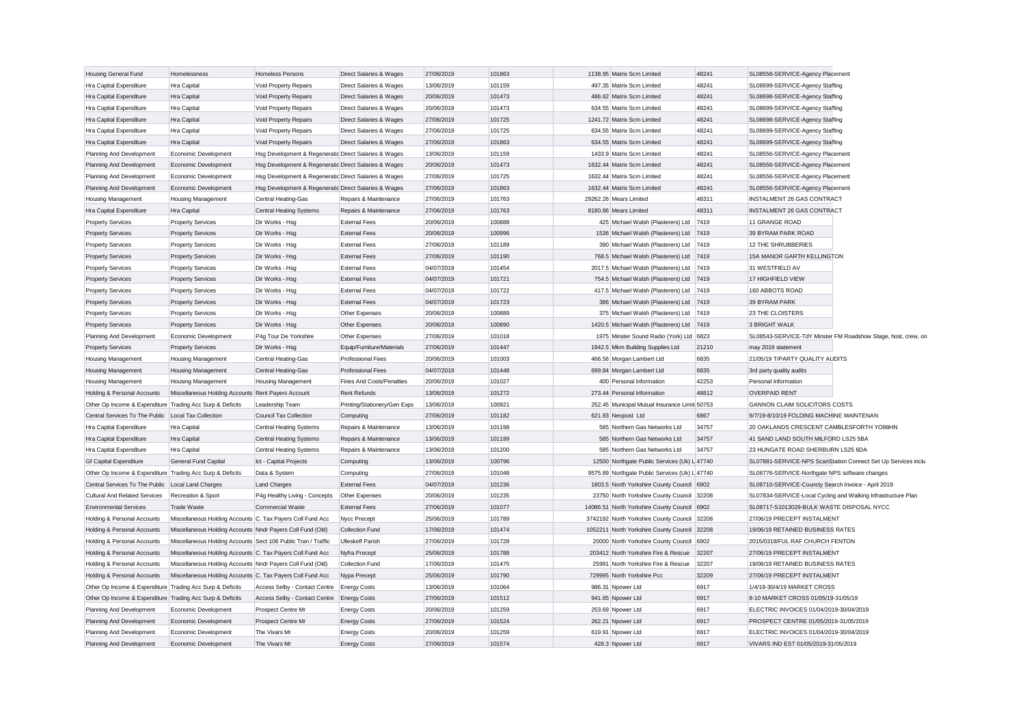| <b>Housing General Fund</b>                                | Homelessness                                                                                                                | Homeless Persons                                      | Direct Salaries & Wages                | 27/06/2019               | 101863 | 1138.95 Matrix Scm Limited                     | 48241 | SL08558-SERVICE-Agency Placement                    |                                                               |
|------------------------------------------------------------|-----------------------------------------------------------------------------------------------------------------------------|-------------------------------------------------------|----------------------------------------|--------------------------|--------|------------------------------------------------|-------|-----------------------------------------------------|---------------------------------------------------------------|
| Hra Capital Expenditure                                    | Hra Capital                                                                                                                 | Void Property Repairs                                 | Direct Salaries & Wages                | 13/06/2019               | 101159 | 497.35 Matrix Scm Limited                      | 48241 | SL08699-SERVICE-Agency Staffing                     |                                                               |
| Hra Capital Expenditure                                    | Hra Capital                                                                                                                 | Void Property Repairs                                 | Direct Salaries & Wages                | 20/06/2019               | 101473 | 486.62 Matrix Scm Limited                      | 48241 | SL08698-SERVICE-Agency Staffing                     |                                                               |
| Hra Capital Expenditure                                    | Hra Capital                                                                                                                 | Void Property Repairs                                 | Direct Salaries & Wages                | 20/06/2019               | 101473 | 634.55 Matrix Scm Limited                      | 48241 | SL08699-SERVICE-Agency Staffing                     |                                                               |
| Hra Capital Expenditure                                    | Hra Capital                                                                                                                 | Void Property Repairs                                 | Direct Salaries & Wages                | 27/06/2019               | 101725 | 1241.72 Matrix Scm Limited                     | 48241 | SL08698-SERVICE-Agency Staffing                     |                                                               |
| Hra Capital Expenditure                                    | Hra Capital                                                                                                                 | Void Property Repairs                                 | Direct Salaries & Wages                | 27/06/2019               | 101725 | 634.55 Matrix Scm Limited                      | 48241 | SL08699-SERVICE-Agency Staffing                     |                                                               |
| Hra Capital Expenditure                                    | Hra Capital                                                                                                                 | Void Property Repairs                                 | Direct Salaries & Wages                | 27/06/2019               | 101863 | 634.55 Matrix Scm Limited                      | 48241 | SL08699-SERVICE-Agency Staffing                     |                                                               |
| Planning And Development                                   | Economic Development                                                                                                        | Hsg Development & Regeneratic Direct Salaries & Wages |                                        | 13/06/2019               | 101159 | 1433.9 Matrix Scm Limited                      | 48241 | SL08556-SERVICE-Agency Placement                    |                                                               |
| Planning And Development                                   | Economic Development                                                                                                        | Hsg Development & Regeneratic Direct Salaries & Wages |                                        | 20/06/2019               | 101473 | 1632.44 Matrix Scm Limited                     | 48241 | SL08556-SERVICE-Agency Placement                    |                                                               |
| Planning And Development                                   | Economic Development                                                                                                        | Hsg Development & Regeneratic Direct Salaries & Wages |                                        | 27/06/2019               | 101725 | 1632.44 Matrix Scm Limited                     | 48241 | SL08556-SERVICE-Agency Placement                    |                                                               |
| Planning And Development                                   | Economic Development                                                                                                        | Hsg Development & Regeneratic Direct Salaries & Wages |                                        | 27/06/2019               | 101863 | 1632.44 Matrix Scm Limited                     | 48241 | SL08556-SERVICE-Agency Placement                    |                                                               |
| <b>Housing Management</b>                                  | <b>Housing Management</b>                                                                                                   | Central Heating-Gas                                   | Repairs & Maintenance                  | 27/06/2019               | 101763 | 29262.26 Mears Limited                         | 48311 | <b>INSTALMENT 26 GAS CONTRACT</b>                   |                                                               |
| Hra Capital Expenditure                                    | Hra Capital                                                                                                                 | <b>Central Heating Systems</b>                        | Repairs & Maintenance                  | 27/06/2019               | 101763 | 8180.86 Mears Limited                          | 48311 | <b>INSTALMENT 26 GAS CONTRACT</b>                   |                                                               |
| <b>Property Services</b>                                   | <b>Property Services</b>                                                                                                    | Dir Works - Hsg                                       | <b>External Fees</b>                   | 20/06/2019               | 100888 | 425 Michael Walsh (Plasterers) Ltd             | 7419  | 11 GRANGE ROAD                                      |                                                               |
| <b>Property Services</b>                                   | <b>Property Services</b>                                                                                                    | Dir Works - Hsg                                       | <b>External Fees</b>                   | 20/06/2019               | 100996 | 1536 Michael Walsh (Plasterers) Ltd 7419       |       | 39 BYRAM PARK ROAD                                  |                                                               |
| <b>Property Services</b>                                   | <b>Property Services</b>                                                                                                    | Dir Works - Hsg                                       | <b>External Fees</b>                   | 27/06/2019               | 101189 | 390 Michael Walsh (Plasterers) Ltd             | 7419  | 12 THE SHRUBBERIES                                  |                                                               |
| <b>Property Services</b>                                   | <b>Property Services</b>                                                                                                    | Dir Works - Hsg                                       | <b>External Fees</b>                   | 27/06/2019               | 101190 | 768.5 Michael Walsh (Plasterers) Ltd           | 7419  | 15A MANOR GARTH KELLINGTON                          |                                                               |
| <b>Property Services</b>                                   | <b>Property Services</b>                                                                                                    | Dir Works - Hsg                                       | <b>External Fees</b>                   | 04/07/2019               | 101454 | 2017.5 Michael Walsh (Plasterers) Ltd          | 7419  | 31 WESTFIELD AV                                     |                                                               |
| <b>Property Services</b>                                   | <b>Property Services</b>                                                                                                    | Dir Works - Hsg                                       | <b>External Fees</b>                   | 04/07/2019               | 101721 | 754.5 Michael Walsh (Plasterers) Ltd           | 7419  | 17 HIGHFIELD VIEW                                   |                                                               |
| <b>Property Services</b>                                   | <b>Property Services</b>                                                                                                    | Dir Works - Hsg                                       | <b>External Fees</b>                   | 04/07/2019               | 101722 | 417.5 Michael Walsh (Plasterers) Ltd           | 7419  | 160 ABBOTS ROAD                                     |                                                               |
| <b>Property Services</b>                                   | <b>Property Services</b>                                                                                                    | Dir Works - Hsg                                       | <b>External Fees</b>                   | 04/07/2019               | 101723 | 386 Michael Walsh (Plasterers) Ltd             | 7419  | 39 BYRAM PARK                                       |                                                               |
| <b>Property Services</b>                                   | <b>Property Services</b>                                                                                                    | Dir Works - Hsg                                       | Other Expenses                         | 20/06/2019               | 100889 | 375 Michael Walsh (Plasterers) Ltd             | 7419  | 23 THE CLOISTERS                                    |                                                               |
| <b>Property Services</b>                                   | <b>Property Services</b>                                                                                                    | Dir Works - Hsg                                       | Other Expenses                         | 20/06/2019               | 100890 | 1420.5 Michael Walsh (Plasterers) Ltd          | 7419  | 3 BRIGHT WALK                                       |                                                               |
| Planning And Development                                   | Economic Development                                                                                                        | P4g Tour De Yorkshire                                 | Other Expenses                         | 27/06/2019               | 101018 | 1975 Minster Sound Radio (York) Ltd            | 6823  |                                                     | SL08543-SERVICE-TdY Minster FM Roadshow Stage, host, crew, or |
| <b>Property Services</b>                                   | <b>Property Services</b>                                                                                                    | Dir Works - Hsg                                       | Equip/Furniture/Materials              | 27/06/2019               | 101447 | 1942.5 Mkm Building Supplies Ltd               | 21210 | may 2019 statement                                  |                                                               |
| Housing Management                                         | <b>Housing Management</b>                                                                                                   | Central Heating-Gas                                   | <b>Professional Fees</b>               | 20/06/2019               | 101003 | 466.56 Morgan Lambert Ltd                      | 6835  | 21/05/19 T/PARTY QUALITY AUDITS                     |                                                               |
| <b>Housing Management</b>                                  | <b>Housing Management</b>                                                                                                   | Central Heating-Gas                                   | <b>Professional Fees</b>               | 04/07/2019               | 101448 | 699.84 Morgan Lambert Ltd                      | 6835  | 3rd party quality audits                            |                                                               |
| Housing Management                                         | <b>Housing Management</b>                                                                                                   | <b>Housing Management</b>                             | <b>Fines And Costs/Penalties</b>       | 20/06/2019               | 101027 | 400 Personal Information                       | 42253 | Personal Information                                |                                                               |
| Holding & Personal Accounts                                | Miscellaneous Holding Accounts Rent Payers Account                                                                          |                                                       | <b>Rent Refunds</b>                    | 13/06/2019               | 101272 | 273.44 Personal Information                    | 48812 | <b>OVERPAID RENT</b>                                |                                                               |
| Other Op Income & Expenditure Trading Acc Surp & Deficits  |                                                                                                                             | Leadership Team                                       | Printing/Stationery/Gen Exps           | 13/06/2019               | 100921 | 252.45 Municipal Mutual Insurance Limit 50753  |       | GANNON CLAIM SOLICITORS COSTS                       |                                                               |
| Central Services To The Public   Local Tax Collection      |                                                                                                                             | Council Tax Collection                                | Computing                              | 27/06/2019               | 101182 | 621.93 Neopost Ltd                             | 6867  | 9/7/19-8/10/19 FOLDING MACHINE MAINTENAN            |                                                               |
| Hra Capital Expenditure                                    | Hra Capital                                                                                                                 | <b>Central Heating Systems</b>                        | Repairs & Maintenance                  | 13/06/2019               | 101198 | 585 Northern Gas Networks Ltd                  | 34757 | 20 OAKLANDS CRESCENT CAMBLESFORTH YO88HN            |                                                               |
| Hra Capital Expenditure                                    | Hra Capital                                                                                                                 | <b>Central Heating Systems</b>                        | Repairs & Maintenance                  | 13/06/2019               | 101199 | 585 Northern Gas Networks Ltd                  | 34757 | 41 SAND LAND SOUTH MILFORD LS25 5BA                 |                                                               |
| Hra Capital Expenditure                                    | Hra Capital                                                                                                                 | <b>Central Heating Systems</b>                        | Repairs & Maintenance                  | 13/06/2019               | 101200 | 585 Northern Gas Networks Ltd                  | 34757 | 23 HUNGATE ROAD SHERBURN LS25 6DA                   |                                                               |
| <b>Gf Capital Expenditure</b>                              | General Fund Capital                                                                                                        | Ict - Capital Projects                                | Computing                              | 13/06/2019               | 100796 | 12500 Northgate Public Services (Uk) L 47740   |       |                                                     | SL07881-SERVICE-NPS ScanStation Connect Set Up Services inclu |
| Other Op Income & Expenditure Trading Acc Surp & Deficits  |                                                                                                                             | Data & System                                         | Computing                              | 27/06/2019               | 101048 | 9575.89 Northgate Public Services (Uk) L 47740 |       | SL08776-SERVICE-Northgate NPS software changes      |                                                               |
| Central Services To The Public Local Land Charges          |                                                                                                                             | <b>Land Charges</b>                                   | <b>External Fees</b>                   | 04/07/2019               | 101236 | 1803.5 North Yorkshire County Council 6902     |       | SL08710-SERVICE-Councty Search Invoice - April 2019 |                                                               |
| Cultural And Related Services                              | Recreation & Sport                                                                                                          | P4g Healthy Living - Concepts                         | Other Expenses                         | 20/06/2019               | 101235 | 23750 North Yorkshire County Council 32208     |       |                                                     | SL07834-SERVICE-Local Cycling and Walking Infrastructure Plan |
| <b>Environmental Services</b>                              | <b>Trade Waste</b>                                                                                                          | <b>Commercial Waste</b>                               | <b>External Fees</b>                   | 27/06/2019               | 101077 | 14086.51 North Yorkshire County Council 6902   |       | SL08717-S1013029-BULK WASTE DISPOSAL NYCC           |                                                               |
|                                                            | Miscellaneous Holding Accounts C. Tax Payers Coll Fund Acc                                                                  |                                                       |                                        | 25/06/2019               | 101789 | 3742192 North Yorkshire County Council 32208   |       | 27/06/19 PRECEPT INSTALMENT                         |                                                               |
| Holding & Personal Accounts<br>Holding & Personal Accounts |                                                                                                                             |                                                       | Nycc Precept<br><b>Collection Fund</b> | 17/06/2019               | 101474 | 1052211 North Yorkshire County Council         | 32208 | 19/06/19 RETAINED BUSINESS RATES                    |                                                               |
| Holding & Personal Accounts                                | Miscellaneous Holding Accounts Nndr Payers Coll Fund (Old)<br>Miscellaneous Holding Accounts Sect 106 Public Tran / Traffic |                                                       | <b>Ulleskelf Parish</b>                | 27/06/2019               | 101728 | 20000 North Yorkshire County Council 6902      |       | 2015/0318/FUL RAF CHURCH FENTON                     |                                                               |
|                                                            |                                                                                                                             |                                                       | Nyfra Precept                          |                          | 101788 | 203412 North Yorkshire Fire & Rescue           | 32207 | 27/06/19 PRECEPT INSTALMENT                         |                                                               |
| Holding & Personal Accounts                                | Miscellaneous Holding Accounts C. Tax Payers Coll Fund Acc<br>Miscellaneous Holding Accounts Nndr Payers Coll Fund (Old)    |                                                       |                                        | 25/06/2019<br>17/06/2019 | 101475 | 25991 North Yorkshire Fire & Rescue            | 32207 | 19/06/19 RETAINED BUSINESS RATES                    |                                                               |
| Holding & Personal Accounts                                |                                                                                                                             |                                                       | <b>Collection Fund</b>                 |                          |        |                                                |       |                                                     |                                                               |
| Holding & Personal Accounts                                | Miscellaneous Holding Accounts C. Tax Payers Coll Fund Acc                                                                  |                                                       | Nypa Precept                           | 25/06/2019               | 101790 | 729995 North Yorkshire Pcc                     | 32209 | 27/06/19 PRECEPT INSTALMENT                         |                                                               |
| Other Op Income & Expenditure Trading Acc Surp & Deficits  |                                                                                                                             | Access Selby - Contact Centre                         | <b>Energy Costs</b>                    | 13/06/2019               | 101064 | 986.31 Npower Ltd                              | 6917  | 1/4/19-30/4/19 MARKET CROSS                         |                                                               |
| Other Op Income & Expenditure Trading Acc Surp & Deficits  |                                                                                                                             | Access Selby - Contact Centre Energy Costs            |                                        | 27/06/2019               | 101512 | 941.65 Npower Ltd                              | 6917  | 8-10 MARKET CROSS 01/05/19-31/05/19                 |                                                               |
| Planning And Development                                   | Economic Development                                                                                                        | Prospect Centre Mr                                    | <b>Energy Costs</b>                    | 20/06/2019               | 101259 | 253.69 Npower Ltd                              | 6917  | ELECTRIC INVOICES 01/04/2019-30/04/2019             |                                                               |
| Planning And Development                                   | Economic Development                                                                                                        | Prospect Centre Mr                                    | <b>Energy Costs</b>                    | 27/06/2019               | 101524 | 262.21 Npower Ltd                              | 6917  | PROSPECT CENTRE 01/05/2019-31/05/2019               |                                                               |
| Planning And Development                                   | Economic Development                                                                                                        | The Vivars Mr                                         | <b>Energy Costs</b>                    | 20/06/2019               | 101259 | 619.91 Noower Ltd                              | 6917  | ELECTRIC INVOICES 01/04/2019-30/04/2019             |                                                               |
| Planning And Development                                   | Economic Development                                                                                                        | The Vivars Mr                                         | <b>Energy Costs</b>                    | 27/06/2019               | 101574 | 428.3 Npower Ltd                               | 6917  | VIVARS IND EST 01/05/2019-31/05/2019                |                                                               |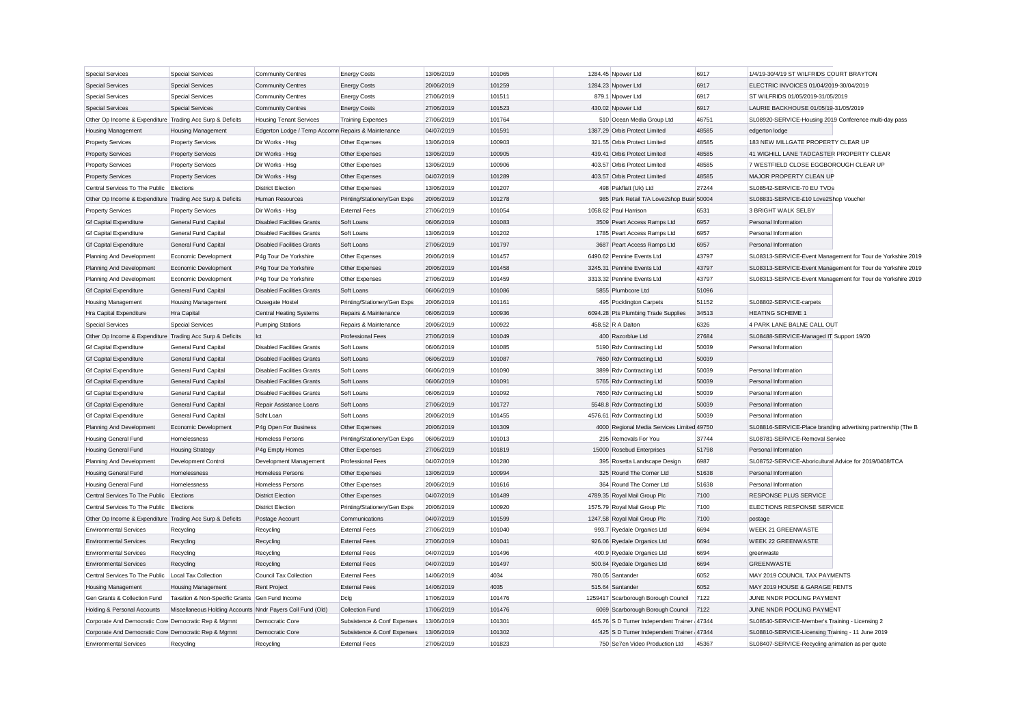| <b>Special Services</b>                                   | <b>Special Services</b>                                    | <b>Community Centres</b>                           | <b>Energy Costs</b>                                        | 13/06/2019               | 101065 | 1284.45 Npower Ltd                                                              | 6917  | 1/4/19-30/4/19 ST WILFRIDS COURT BRAYTON                      |                                                             |
|-----------------------------------------------------------|------------------------------------------------------------|----------------------------------------------------|------------------------------------------------------------|--------------------------|--------|---------------------------------------------------------------------------------|-------|---------------------------------------------------------------|-------------------------------------------------------------|
| <b>Special Services</b>                                   | <b>Special Services</b>                                    | <b>Community Centres</b>                           | <b>Energy Costs</b>                                        | 20/06/2019               | 101259 | 1284.23 Npower Ltd                                                              | 6917  | ELECTRIC INVOICES 01/04/2019-30/04/2019                       |                                                             |
| <b>Special Services</b>                                   | <b>Special Services</b>                                    | <b>Community Centres</b>                           | <b>Energy Costs</b>                                        | 27/06/2019               | 101511 | 879.1 Npower Ltd                                                                | 6917  | ST WILFRIDS 01/05/2019-31/05/2019                             |                                                             |
| <b>Special Services</b>                                   | <b>Special Services</b>                                    | <b>Community Centres</b>                           | <b>Energy Costs</b>                                        | 27/06/2019               | 101523 | 430.02 Npower Ltd                                                               | 6917  | LAURIE BACKHOUSE 01/05/19-31/05/2019                          |                                                             |
| Other Op Income & Expenditure Trading Acc Surp & Deficits |                                                            | <b>Housing Tenant Services</b>                     | <b>Training Expenses</b>                                   | 27/06/2019               | 101764 | 510 Ocean Media Group Ltd                                                       | 46751 | SL08920-SERVICE-Housing 2019 Conference multi-day pass        |                                                             |
| <b>Housing Management</b>                                 | <b>Housing Management</b>                                  | Edgerton Lodge / Temp Accomn Repairs & Maintenance |                                                            | 04/07/2019               | 101591 | 1387.29 Orbis Protect Limited                                                   | 48585 | edgerton lodge                                                |                                                             |
| <b>Property Services</b>                                  | <b>Property Services</b>                                   | Dir Works - Hsg                                    | Other Expenses                                             | 13/06/2019               | 100903 | 321.55 Orbis Protect Limited                                                    | 48585 | 183 NEW MILLGATE PROPERTY CLEAR UP                            |                                                             |
| <b>Property Services</b>                                  | <b>Property Services</b>                                   | Dir Works - Hsg                                    | Other Expenses                                             | 13/06/2019               | 100905 | 439.41 Orbis Protect Limited                                                    | 48585 | 41 WIGHILL LANE TADCASTER PROPERTY CLEAR                      |                                                             |
| <b>Property Services</b>                                  | <b>Property Services</b>                                   | Dir Works - Hsg                                    | Other Expenses                                             | 13/06/2019               | 100906 | 403.57 Orbis Protect Limited                                                    | 48585 | 7 WESTFIELD CLOSE EGGBOROUGH CLEAR UP                         |                                                             |
| <b>Property Services</b>                                  | <b>Property Services</b>                                   | Dir Works - Hsg                                    | Other Expenses                                             | 04/07/2019               | 101289 | 403.57 Orbis Protect Limited                                                    | 48585 | MAJOR PROPERTY CLEAN UP                                       |                                                             |
| Central Services To The Public                            | Elections                                                  | <b>District Election</b>                           | Other Expenses                                             | 13/06/2019               | 101207 | 498 Pakflatt (Uk) Ltd                                                           | 27244 | SL08542-SERVICE-70 EU TVDs                                    |                                                             |
| Other Op Income & Expenditure Trading Acc Surp & Deficits |                                                            | Human Resources                                    | Printing/Stationery/Gen Exps                               | 20/06/2019               | 101278 | 985 Park Retail T/A Love2shop Busir 50004                                       |       | SL08831-SERVICE-£10 Love2Shop Voucher                         |                                                             |
| <b>Property Services</b>                                  | <b>Property Services</b>                                   | Dir Works - Hsg                                    | <b>External Fees</b>                                       | 27/06/2019               | 101054 | 1058.62 Paul Harrison                                                           | 6531  | 3 BRIGHT WALK SELBY                                           |                                                             |
| <b>Gf Capital Expenditure</b>                             | <b>General Fund Capital</b>                                | <b>Disabled Facilities Grants</b>                  | Soft Loans                                                 | 06/06/2019               | 101083 | 3509 Peart Access Ramps Ltd                                                     | 6957  | Personal Information                                          |                                                             |
| <b>Gf Capital Expenditure</b>                             | <b>General Fund Capital</b>                                | <b>Disabled Facilities Grants</b>                  | Soft Loans                                                 | 13/06/2019               | 101202 | 1785 Peart Access Ramps Ltd                                                     | 6957  | Personal Information                                          |                                                             |
| <b>Gf Capital Expenditure</b>                             | <b>General Fund Capital</b>                                | <b>Disabled Facilities Grants</b>                  | Soft Loans                                                 | 27/06/2019               | 101797 | 3687 Peart Access Ramps Ltd                                                     | 6957  | Personal Information                                          |                                                             |
| Planning And Development                                  | Economic Development                                       | P4g Tour De Yorkshire                              | Other Expenses                                             | 20/06/2019               | 101457 | 6490.62 Pennine Events Ltd                                                      | 43797 |                                                               | SL08313-SERVICE-Event Management for Tour de Yorkshire 2019 |
| Planning And Development                                  | Economic Development                                       | P4g Tour De Yorkshire                              | Other Expenses                                             | 20/06/2019               | 101458 | 3245.31 Pennine Events Ltd                                                      | 43797 |                                                               | SL08313-SERVICE-Event Management for Tour de Yorkshire 2019 |
| Planning And Development                                  | Economic Development                                       | P4g Tour De Yorkshire                              | Other Expenses                                             | 27/06/2019               | 101459 | 3313.32 Pennine Events Ltd                                                      | 43797 |                                                               | SL08313-SERVICE-Event Management for Tour de Yorkshire 2019 |
| <b>Gf Capital Expenditure</b>                             | General Fund Capital                                       | <b>Disabled Facilities Grants</b>                  | Soft Loans                                                 | 06/06/2019               | 101086 | 5855 Plumbcore Ltd                                                              | 51096 |                                                               |                                                             |
| Housing Management                                        | <b>Housing Management</b>                                  | Ousegate Hostel                                    | Printing/Stationery/Gen Exps                               | 20/06/2019               | 101161 | 495 Pocklington Carpets                                                         | 51152 | SL08802-SERVICE-carpets                                       |                                                             |
| Hra Capital Expenditure                                   | Hra Capital                                                | <b>Central Heating Systems</b>                     | Repairs & Maintenance                                      | 06/06/2019               | 100936 | 6094.28 Pts Plumbing Trade Supplies                                             | 34513 | <b>HEATING SCHEME 1</b>                                       |                                                             |
| <b>Special Services</b>                                   | <b>Special Services</b>                                    | <b>Pumping Stations</b>                            | Repairs & Maintenance                                      | 20/06/2019               | 100922 | 458.52 R A Dalton                                                               | 6326  | 4 PARK LANE BALNE CALL OUT                                    |                                                             |
| Other Op Income & Expenditure Trading Acc Surp & Deficits |                                                            | Ict                                                | <b>Professional Fees</b>                                   | 27/06/2019               | 101049 | 400 Razorblue Ltd                                                               | 27684 | SL08488-SERVICE-Managed IT Support 19/20                      |                                                             |
| <b>Gf Capital Expenditure</b>                             | General Fund Capital                                       | <b>Disabled Facilities Grants</b>                  | Soft Loans                                                 | 06/06/2019               | 101085 | 5190 Rdv Contracting Ltd                                                        | 50039 | Personal Information                                          |                                                             |
| <b>Gf Capital Expenditure</b>                             | General Fund Capital                                       | <b>Disabled Facilities Grants</b>                  | Soft Loans                                                 | 06/06/2019               | 101087 | 7650 Rdv Contracting Ltd                                                        | 50039 |                                                               |                                                             |
| <b>Gf Capital Expenditure</b>                             | General Fund Capital                                       | <b>Disabled Facilities Grants</b>                  | Soft Loans                                                 | 06/06/2019               | 101090 | 3899 Rdv Contracting Ltd                                                        | 50039 | Personal Information                                          |                                                             |
| <b>Gf Capital Expenditure</b>                             | General Fund Capital                                       | <b>Disabled Facilities Grants</b>                  | Soft Loans                                                 | 06/06/2019               | 101091 | 5765 Rdv Contracting Ltd                                                        | 50039 | Personal Information                                          |                                                             |
| <b>Gf Capital Expenditure</b>                             | General Fund Capital                                       | <b>Disabled Facilities Grants</b>                  | Soft Loans                                                 | 06/06/2019               | 101092 | 7650 Rdv Contracting Ltd                                                        | 50039 | Personal Information                                          |                                                             |
| <b>Gf Capital Expenditure</b>                             | General Fund Capital                                       | Repair Assistance Loans                            | Soft Loans                                                 | 27/06/2019               | 101727 | 5548.8 Rdv Contracting Ltd                                                      | 50039 | Personal Information                                          |                                                             |
| <b>Gf Capital Expenditure</b>                             | General Fund Capital                                       | Sdht Loan                                          | Soft Loans                                                 | 20/06/2019               | 101455 | 4576.61 Rdv Contracting Ltd                                                     | 50039 | Personal Information                                          |                                                             |
| Planning And Development                                  | Economic Development                                       | P4g Open For Business                              | Other Expenses                                             | 20/06/2019               | 101309 | 4000 Regional Media Services Limited 49750                                      |       | SL08816-SERVICE-Place branding advertising partnership (The B |                                                             |
| <b>Housing General Fund</b>                               | Homelessness                                               | Homeless Persons                                   | Printing/Stationery/Gen Exps                               | 06/06/2019               | 101013 | 295 Removals For You                                                            | 37744 | SL08781-SERVICE-Removal Service                               |                                                             |
| Housing General Fund                                      | <b>Housing Strategy</b>                                    | P4g Empty Homes                                    | Other Expenses                                             | 27/06/2019               | 101819 | 15000 Rosebud Enterprises                                                       | 51798 | Personal Information                                          |                                                             |
| Planning And Development                                  | Development Control                                        | Development Management                             | <b>Professional Fees</b>                                   | 04/07/2019               | 101280 | 395 Rosetta Landscape Design                                                    | 6987  | SL08752-SERVICE-Aboricultural Advice for 2019/0408/TCA        |                                                             |
| <b>Housing General Fund</b>                               | Homelessness                                               | <b>Homeless Persons</b>                            | Other Expenses                                             | 13/06/2019               | 100994 | 325 Round The Corner Ltd                                                        | 51638 | Personal Information                                          |                                                             |
| Housing General Fund                                      | Homelessness                                               | Homeless Persons                                   | Other Expenses                                             | 20/06/2019               | 101616 | 364 Round The Corner Ltd                                                        | 51638 | Personal Information                                          |                                                             |
| Central Services To The Public                            | Elections                                                  | <b>District Election</b>                           | Other Expenses                                             | 04/07/2019               | 101489 | 4789.35 Royal Mail Group Plc                                                    | 7100  | <b>RESPONSE PLUS SERVICE</b>                                  |                                                             |
| Central Services To The Public Elections                  |                                                            | <b>District Election</b>                           | Printing/Stationery/Gen Exps                               | 20/06/2019               | 100920 | 1575.79 Royal Mail Group Plc                                                    | 7100  | <b>ELECTIONS RESPONSE SERVICE</b>                             |                                                             |
| Other Op Income & Expenditure Trading Acc Surp & Deficits |                                                            | Postage Account                                    | Communications                                             | 04/07/2019               | 101599 | 1247.58 Royal Mail Group Plc                                                    | 7100  | postage                                                       |                                                             |
| <b>Environmental Services</b>                             | Recycling                                                  | Recycling                                          | <b>External Fees</b>                                       | 27/06/2019               | 101040 | 993.7 Ryedale Organics Ltd                                                      | 6694  | <b>WEEK 21 GREENWASTE</b>                                     |                                                             |
| <b>Environmental Services</b>                             | Recycling                                                  | Recycling                                          | <b>External Fees</b>                                       | 27/06/2019               | 101041 | 926.06 Ryedale Organics Ltd                                                     | 6694  | <b>WEEK 22 GREENWASTE</b>                                     |                                                             |
| <b>Environmental Services</b>                             | Recycling                                                  | Recycling                                          | <b>External Fees</b>                                       | 04/07/2019               | 101496 | 400.9 Ryedale Organics Ltd                                                      | 6694  | greenwaste                                                    |                                                             |
| <b>Environmental Services</b>                             | Recycling                                                  | Recycling                                          | <b>External Fees</b>                                       | 04/07/2019               | 101497 | 500.84 Ryedale Organics Ltd                                                     | 6694  | <b>GREENWASTE</b>                                             |                                                             |
| Central Services To The Public                            | Local Tax Collection                                       | Council Tax Collection                             | <b>External Fees</b>                                       | 14/06/2019               | 4034   | 780.05 Santander                                                                | 6052  | MAY 2019 COUNCIL TAX PAYMENTS                                 |                                                             |
| <b>Housing Management</b>                                 | <b>Housing Management</b>                                  | <b>Rent Project</b>                                | <b>External Fees</b>                                       | 14/06/2019               | 4035   | 515.64 Santander                                                                | 6052  | MAY 2019 HOUSE & GARAGE RENTS                                 |                                                             |
| Gen Grants & Collection Fund                              |                                                            |                                                    |                                                            |                          | 101476 |                                                                                 | 7122  |                                                               |                                                             |
|                                                           | Taxation & Non-Specific Grants Gen Fund Income             |                                                    | Dclg                                                       | 17/06/2019<br>17/06/2019 | 101476 | 1259417 Scarborough Borough Council                                             | 7122  | JUNE NNDR POOLING PAYMENT<br>JUNE NNDR POOLING PAYMENT        |                                                             |
| Holding & Personal Accounts                               | Miscellaneous Holding Accounts Nndr Payers Coll Fund (Old) | Democratic Core                                    | Collection Fund                                            | 13/06/2019               | 101301 | 6069 Scarborough Borough Council<br>445.76 S D Turner Independent Trainer 47344 |       |                                                               |                                                             |
| Corporate And Democratic Core Democratic Rep & Mgmnt      |                                                            |                                                    | Subsistence & Conf Expenses<br>Subsistence & Conf Expenses |                          | 101302 |                                                                                 |       | SL08540-SERVICE-Member's Training - Licensing 2               |                                                             |
| Corporate And Democratic Core Democratic Rep & Mgmnt      |                                                            | Democratic Core                                    |                                                            | 13/06/2019               |        | 425 S D Turner Independent Trainer 47344                                        |       | SL08810-SERVICE-Licensing Training - 11 June 2019             |                                                             |
| <b>Environmental Services</b>                             | Recycling                                                  | Recycling                                          | <b>External Fees</b>                                       | 27/06/2019               | 101823 | 750 Se7en Video Production Ltd                                                  | 45367 | SL08407-SERVICE-Recycling animation as per quote              |                                                             |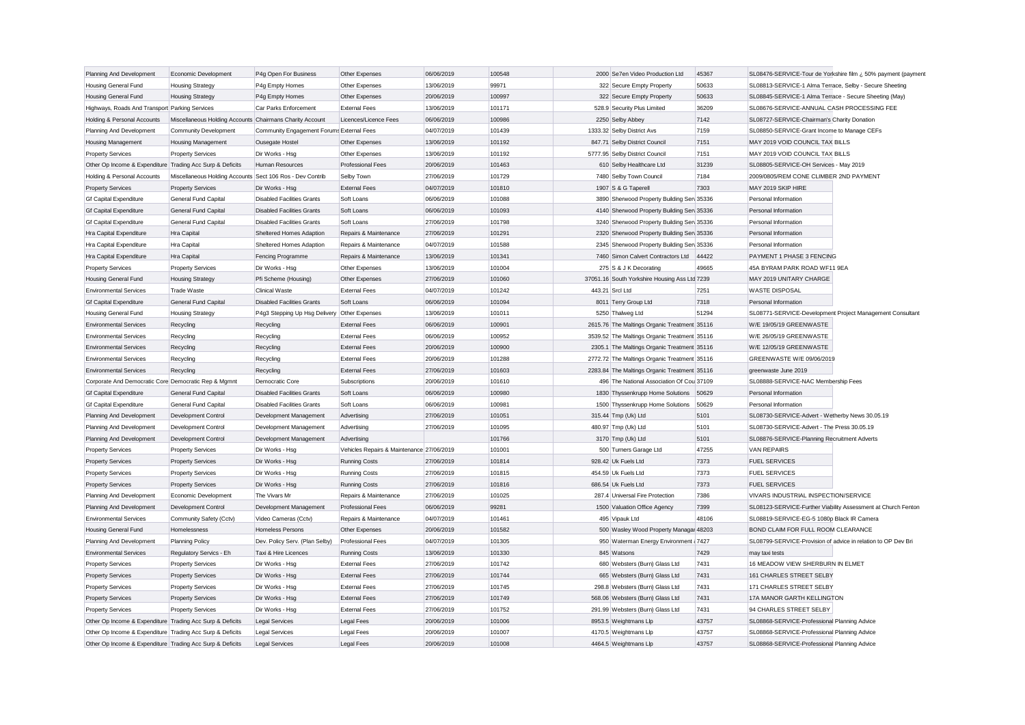| Planning And Development                                                              | Economic Development                                      | P4g Open For Business                     | Other Expenses                            | 06/06/2019 | 100548 | 2000 Se7en Video Production Ltd                                                              | 45367 | SL08476-SERVICE-Tour de Yorkshire film ¿ 50% payment (payment |
|---------------------------------------------------------------------------------------|-----------------------------------------------------------|-------------------------------------------|-------------------------------------------|------------|--------|----------------------------------------------------------------------------------------------|-------|---------------------------------------------------------------|
| Housing General Fund                                                                  | <b>Housing Strategy</b>                                   | P4g Empty Homes                           | Other Expenses                            | 13/06/2019 | 99971  | 322 Secure Empty Property                                                                    | 50633 | SL08813-SERVICE-1 Alma Terrace, Selby - Secure Sheeting       |
| <b>Housing General Fund</b>                                                           | <b>Housing Strategy</b>                                   | P4g Empty Homes                           | Other Expenses                            | 20/06/2019 | 100997 | 322 Secure Empty Property                                                                    | 50633 | SL08845-SERVICE-1 Alma Terrace - Secure Sheeting (May)        |
| Highways, Roads And Transport Parking Services                                        |                                                           | Car Parks Enforcement                     | <b>External Fees</b>                      | 13/06/2019 | 101171 | 528.9 Security Plus Limited                                                                  | 36209 | SL08676-SERVICE-ANNUAL CASH PROCESSING FEE                    |
| Holding & Personal Accounts                                                           | Miscellaneous Holding Accounts Chairmans Charity Account  |                                           | Licences/Licence Fees                     | 06/06/2019 | 100986 | 2250 Selby Abbey                                                                             | 7142  | SL08727-SERVICE-Chairman's Charity Donation                   |
| Planning And Development                                                              | Community Development                                     | Community Engagement Forums External Fees |                                           | 04/07/2019 | 101439 | 1333.32 Selby District Avs                                                                   | 7159  | SL08850-SERVICE-Grant Income to Manage CEFs                   |
| <b>Housing Management</b>                                                             | <b>Housing Management</b>                                 | Ousegate Hostel                           | Other Expenses                            | 13/06/2019 | 101192 | 847.71 Selby District Council                                                                | 7151  | MAY 2019 VOID COUNCIL TAX BILLS                               |
| <b>Property Services</b>                                                              | <b>Property Services</b>                                  | Dir Works - Hsg                           | Other Expenses                            | 13/06/2019 | 101192 | 5777.95 Selby District Council                                                               | 7151  | MAY 2019 VOID COUNCIL TAX BILLS                               |
| Other Op Income & Expenditure Trading Acc Surp & Deficits                             |                                                           | Human Resources                           | Professional Fees                         | 20/06/2019 | 101463 | 610 Selby Healthcare Ltd                                                                     | 31239 | SL08805-SERVICE-OH Services - May 2019                        |
| Holding & Personal Accounts                                                           | Miscellaneous Holding Accounts Sect 106 Ros - Dev Contrib |                                           | Selby Town                                | 27/06/2019 | 101729 | 7480 Selby Town Council                                                                      | 7184  | 2009/0805/REM CONE CLIMBER 2ND PAYMENT                        |
| <b>Property Services</b>                                                              | <b>Property Services</b>                                  | Dir Works - Hsg                           | <b>External Fees</b>                      | 04/07/2019 | 101810 | 1907 S & G Taperell                                                                          | 7303  | MAY 2019 SKIP HIRE                                            |
| <b>Gf Capital Expenditure</b>                                                         | General Fund Capital                                      | <b>Disabled Facilities Grants</b>         | Soft Loans                                | 06/06/2019 | 101088 | 3890 Sherwood Property Building Sen 35336                                                    |       | Personal Information                                          |
| <b>Gf Capital Expenditure</b>                                                         | General Fund Capital                                      | <b>Disabled Facilities Grants</b>         | Soft Loans                                | 06/06/2019 | 101093 | 4140 Sherwood Property Building Sen 35336                                                    |       | Personal Information                                          |
| <b>Gf Capital Expenditure</b>                                                         | General Fund Capital                                      | <b>Disabled Facilities Grants</b>         | Soft Loans                                | 27/06/2019 | 101798 | 3240 Sherwood Property Building Sen 35336                                                    |       | Personal Information                                          |
| Hra Capital Expenditure                                                               | Hra Capital                                               | Sheltered Homes Adaption                  | Repairs & Maintenance                     | 27/06/2019 | 101291 | 2320 Sherwood Property Building Sen 35336                                                    |       | Personal Information                                          |
| Hra Capital Expenditure                                                               | Hra Capital                                               | Sheltered Homes Adaption                  | Repairs & Maintenance                     | 04/07/2019 | 101588 | 2345 Sherwood Property Building Ser 35336                                                    |       | Personal Information                                          |
| Hra Capital Expenditure                                                               | Hra Capital                                               | Fencing Programme                         | Repairs & Maintenance                     | 13/06/2019 | 101341 | 7460 Simon Calvert Contractors Ltd                                                           | 44422 | PAYMENT 1 PHASE 3 FENCING                                     |
| <b>Property Services</b>                                                              | <b>Property Services</b>                                  | Dir Works - Hsg                           | Other Expenses                            | 13/06/2019 | 101004 | 275 S & J K Decorating                                                                       | 49665 | 45A BYRAM PARK ROAD WF11 9EA                                  |
| Housing General Fund                                                                  | <b>Housing Strategy</b>                                   | Pfi Scheme (Housing)                      | Other Expenses                            | 27/06/2019 | 101060 | 37051.16 South Yorkshire Housing Ass Ltd 7239                                                |       | MAY 2019 UNITARY CHARGE                                       |
| <b>Environmental Services</b>                                                         | <b>Trade Waste</b>                                        | <b>Clinical Waste</b>                     | <b>External Fees</b>                      | 04/07/2019 | 101242 | 443.21 Srcl Ltd                                                                              | 7251  | <b>WASTE DISPOSAL</b>                                         |
| <b>Gf Capital Expenditure</b>                                                         | General Fund Capital                                      | <b>Disabled Facilities Grants</b>         | Soft Loans                                | 06/06/2019 | 101094 | 8011 Terry Group Ltd                                                                         | 7318  | Personal Information                                          |
| Housing General Fund                                                                  | <b>Housing Strategy</b>                                   | P4g3 Stepping Up Hsg Delivery             | Other Expenses                            | 13/06/2019 | 101011 | 5250 Thalweg Ltd                                                                             | 51294 | SL08771-SERVICE-Development Project Management Consultant     |
| <b>Environmental Services</b>                                                         | Recycling                                                 | Recycling                                 | <b>External Fees</b>                      | 06/06/2019 | 100901 | 2615.76 The Maltings Organic Treatment 35116                                                 |       | W/E 19/05/19 GREENWASTE                                       |
| <b>Environmental Services</b>                                                         | Recycling                                                 | Recycling                                 | <b>External Fees</b>                      | 06/06/2019 | 100952 | 3539.52 The Maltings Organic Treatment 35116                                                 |       | W/E 26/05/19 GREENWASTE                                       |
| <b>Environmental Services</b>                                                         | Recycling                                                 | Recycling                                 | <b>External Fees</b>                      | 20/06/2019 | 100900 | 2305.1 The Maltings Organic Treatment 35116                                                  |       | W/E 12/05/19 GREENWASTE                                       |
| <b>Environmental Services</b>                                                         |                                                           |                                           | <b>External Fees</b>                      | 20/06/2019 | 101288 |                                                                                              |       | GREENWASTE W/E 09/06/2019                                     |
| <b>Environmental Services</b>                                                         | Recycling                                                 | Recycling                                 | <b>External Fees</b>                      | 27/06/2019 | 101603 | 2772.72 The Maltings Organic Treatment 35116<br>2283.84 The Maltings Organic Treatment 35116 |       | greenwaste June 2019                                          |
|                                                                                       | Recycling                                                 | Recycling<br>Democratic Core              |                                           | 20/06/2019 | 101610 | 496 The National Association Of Cou 37109                                                    |       | SL08888-SERVICE-NAC Membership Fees                           |
| Corporate And Democratic Core Democratic Rep & Mgmnt<br><b>Gf Capital Expenditure</b> | General Fund Capital                                      | <b>Disabled Facilities Grants</b>         | Subscriptions<br>Soft Loans               | 06/06/2019 | 100980 | 1830 Thyssenkrupp Home Solutions                                                             | 50629 | Personal Information                                          |
|                                                                                       |                                                           | <b>Disabled Facilities Grants</b>         | Soft Loans                                | 06/06/2019 | 100981 |                                                                                              |       |                                                               |
| <b>Gf Capital Expenditure</b>                                                         | General Fund Capital                                      |                                           |                                           |            |        | 1500 Thyssenkrupp Home Solutions                                                             | 50629 | Personal Information                                          |
| Planning And Development                                                              | <b>Development Control</b>                                | Development Management                    | Advertising                               | 27/06/2019 | 101051 | 315.44 Tmp (Uk) Ltd                                                                          | 5101  | SL08730-SERVICE-Advert - Wetherby News 30.05.19               |
| Planning And Development                                                              | Development Control                                       | Development Management                    | Advertising                               | 27/06/2019 | 101095 | 480.97 Tmp (Uk) Ltd                                                                          | 5101  | SL08730-SERVICE-Advert - The Press 30.05.19                   |
| Planning And Development                                                              | <b>Development Control</b>                                | Development Management                    | Advertising                               |            | 101766 | 3170 Tmp (Uk) Ltd                                                                            | 5101  | SL08876-SERVICE-Planning Recruitment Adverts                  |
| <b>Property Services</b>                                                              | <b>Property Services</b>                                  | Dir Works - Hsg                           | Vehicles Repairs & Maintenance 27/06/2019 |            | 101001 | 500 Turners Garage Ltd                                                                       | 47255 | <b>VAN REPAIRS</b>                                            |
| <b>Property Services</b>                                                              | <b>Property Services</b>                                  | Dir Works - Hsg                           | <b>Running Costs</b>                      | 27/06/2019 | 101814 | 928.42 Uk Fuels Ltd                                                                          | 7373  | <b>FUEL SERVICES</b>                                          |
| <b>Property Services</b>                                                              | <b>Property Services</b>                                  | Dir Works - Hsg                           | <b>Running Costs</b>                      | 27/06/2019 | 101815 | 454.59 Uk Fuels Ltd                                                                          | 7373  | <b>FUEL SERVICES</b>                                          |
| <b>Property Services</b>                                                              | <b>Property Services</b>                                  | Dir Works - Hsg                           | <b>Running Costs</b>                      | 27/06/2019 | 101816 | 686.54 Uk Fuels Ltd                                                                          | 7373  | <b>FUEL SERVICES</b>                                          |
| Planning And Development                                                              | Economic Development                                      | The Vivars Mr                             | Repairs & Maintenance                     | 27/06/2019 | 101025 | 287.4 Universal Fire Protection                                                              | 7386  | VIVARS INDUSTRIAL INSPECTION/SERVICE                          |
| Planning And Development                                                              | Development Control                                       | Development Management                    | <b>Professional Fees</b>                  | 06/06/2019 | 99281  | 1500 Valuation Office Agency                                                                 | 7399  | SL08123-SERVICE-Further Viability Assessment at Church Fenton |
| <b>Environmental Services</b>                                                         | Community Safety (Cctv)                                   | Video Cameras (Cctv)                      | Repairs & Maintenance                     | 04/07/2019 | 101461 | 495 Vipauk Ltd                                                                               | 48106 | SL08819-SERVICE-EG-5 1080p Black IR Camera                    |
| Housing General Fund                                                                  | Homelessness                                              | Homeless Persons                          | Other Expenses                            | 20/06/2019 | 101582 | 500 Wasley Wood Property Managar 48203                                                       |       | BOND CLAIM FOR FULL ROOM CLEARANCE                            |
| Planning And Development                                                              | <b>Planning Policy</b>                                    | Dev. Policy Serv. (Plan Selby)            | Professional Fees                         | 04/07/2019 | 101305 | 950 Waterman Energy Environment (7427                                                        |       | SL08799-SERVICE-Provision of advice in relation to OP Dev Bri |
| <b>Environmental Services</b>                                                         | Regulatory Servics - Eh                                   | Taxi & Hire Licences                      | <b>Running Costs</b>                      | 13/06/2019 | 101330 | 845 Watsons                                                                                  | 7429  | may taxi tests                                                |
| <b>Property Services</b>                                                              | <b>Property Services</b>                                  | Dir Works - Hsg                           | <b>External Fees</b>                      | 27/06/2019 | 101742 | 680 Websters (Burn) Glass Ltd                                                                | 7431  | 16 MEADOW VIEW SHERBURN IN ELMET                              |
| <b>Property Services</b>                                                              | <b>Property Services</b>                                  | Dir Works - Hsg                           | <b>External Fees</b>                      | 27/06/2019 | 101744 | 665 Websters (Burn) Glass Ltd                                                                | 7431  | 161 CHARLES STREET SELBY                                      |
| <b>Property Services</b>                                                              | <b>Property Services</b>                                  | Dir Works - Hsg                           | <b>External Fees</b>                      | 27/06/2019 | 101745 | 298.8 Websters (Burn) Glass Ltd                                                              | 7431  | 171 CHARLES STREET SELBY                                      |
| <b>Property Services</b>                                                              | <b>Property Services</b>                                  | Dir Works - Hsg                           | <b>External Fees</b>                      | 27/06/2019 | 101749 | 568.06 Websters (Burn) Glass Ltd                                                             | 7431  | 17A MANOR GARTH KELLINGTON                                    |
| <b>Property Services</b>                                                              | <b>Property Services</b>                                  | Dir Works - Hsg                           | <b>External Fees</b>                      | 27/06/2019 | 101752 | 291.99 Websters (Burn) Glass Ltd                                                             | 7431  | 94 CHARLES STREET SELBY                                       |
| Other Op Income & Expenditure Trading Acc Surp & Deficits                             |                                                           | <b>Legal Services</b>                     | <b>Legal Fees</b>                         | 20/06/2019 | 101006 | 8953.5 Weightmans Llp                                                                        | 43757 | SL08868-SERVICE-Professional Planning Advice                  |
| Other Op Income & Expenditure Trading Acc Surp & Deficits                             |                                                           | <b>Legal Services</b>                     | Legal Fees                                | 20/06/2019 | 101007 | 4170.5 Weightmans Llp                                                                        | 43757 | SL08868-SERVICE-Professional Planning Advice                  |
| Other Op Income & Expenditure Trading Acc Surp & Deficits                             |                                                           | <b>Legal Services</b>                     | <b>Legal Fees</b>                         | 20/06/2019 | 101008 | 4464.5 Weightmans Llp                                                                        | 43757 | SL08868-SERVICE-Professional Planning Advice                  |